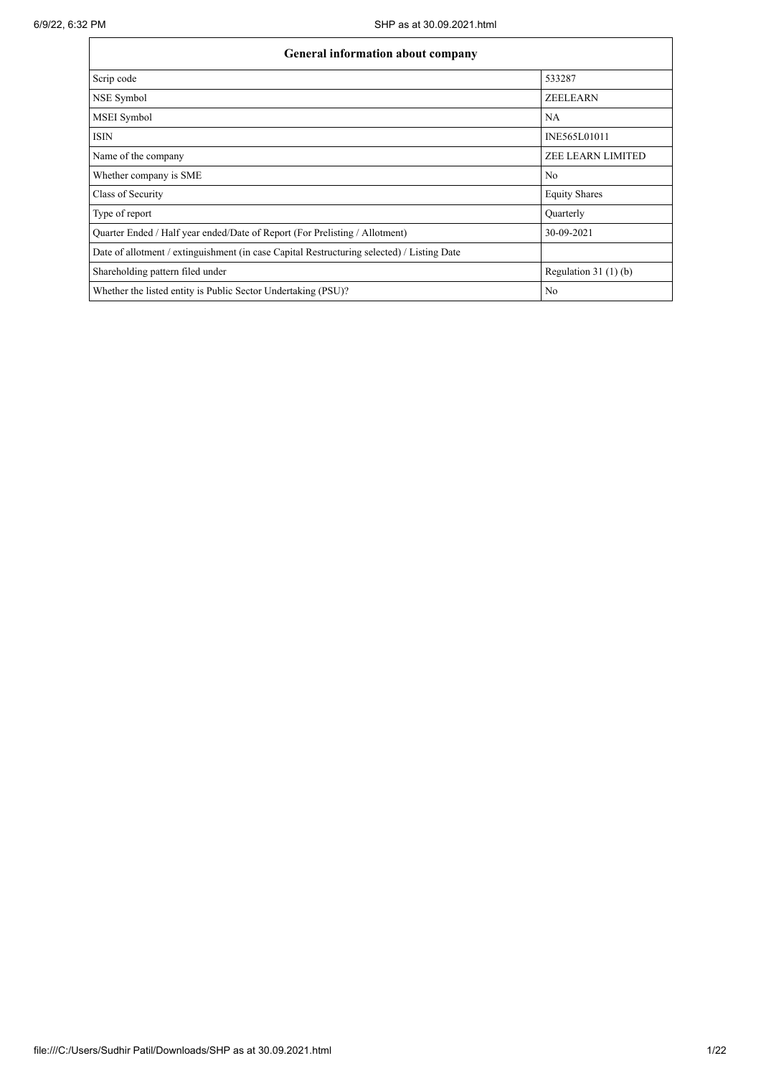| General information about company                                                          |                          |  |  |  |  |  |  |  |
|--------------------------------------------------------------------------------------------|--------------------------|--|--|--|--|--|--|--|
| Scrip code                                                                                 | 533287                   |  |  |  |  |  |  |  |
| NSE Symbol                                                                                 | <b>ZEELEARN</b>          |  |  |  |  |  |  |  |
| MSEI Symbol                                                                                | NA                       |  |  |  |  |  |  |  |
| <b>ISIN</b>                                                                                | INE565L01011             |  |  |  |  |  |  |  |
| Name of the company                                                                        | <b>ZEE LEARN LIMITED</b> |  |  |  |  |  |  |  |
| Whether company is SME                                                                     | No                       |  |  |  |  |  |  |  |
| Class of Security                                                                          | <b>Equity Shares</b>     |  |  |  |  |  |  |  |
| Type of report                                                                             | Quarterly                |  |  |  |  |  |  |  |
| Quarter Ended / Half year ended/Date of Report (For Prelisting / Allotment)                | 30-09-2021               |  |  |  |  |  |  |  |
| Date of allotment / extinguishment (in case Capital Restructuring selected) / Listing Date |                          |  |  |  |  |  |  |  |
| Shareholding pattern filed under                                                           | Regulation $31(1)(b)$    |  |  |  |  |  |  |  |
| Whether the listed entity is Public Sector Undertaking (PSU)?                              | N <sub>o</sub>           |  |  |  |  |  |  |  |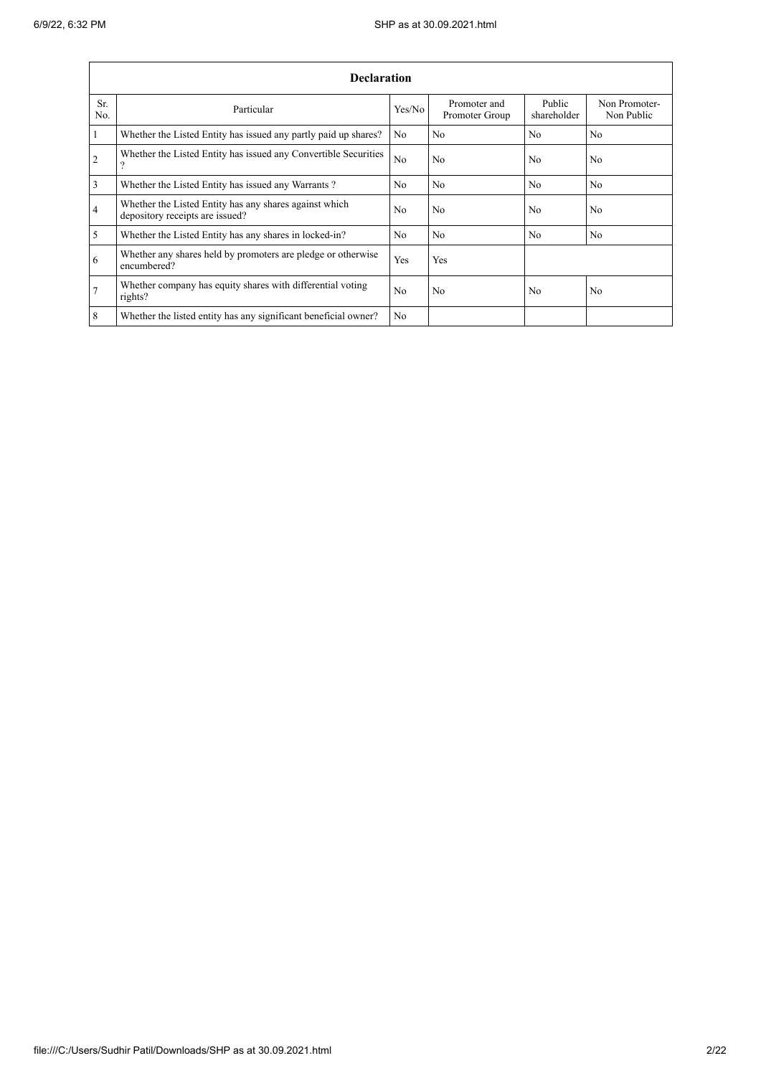ř.

|                | <b>Declaration</b>                                                                        |                |                                |                       |                             |  |  |  |  |  |
|----------------|-------------------------------------------------------------------------------------------|----------------|--------------------------------|-----------------------|-----------------------------|--|--|--|--|--|
| Sr.<br>No.     | Particular                                                                                | Yes/No         | Promoter and<br>Promoter Group | Public<br>shareholder | Non Promoter-<br>Non Public |  |  |  |  |  |
| $\mathbf{1}$   | Whether the Listed Entity has issued any partly paid up shares?                           | N <sub>0</sub> | N <sub>0</sub>                 | N <sub>0</sub>        | N <sub>0</sub>              |  |  |  |  |  |
| $\overline{2}$ | Whether the Listed Entity has issued any Convertible Securities<br>າ                      | N <sub>o</sub> | No                             | N <sub>o</sub>        | N <sub>o</sub>              |  |  |  |  |  |
| 3              | Whether the Listed Entity has issued any Warrants?                                        | N <sub>0</sub> | No                             | N <sub>o</sub>        | No.                         |  |  |  |  |  |
| $\overline{4}$ | Whether the Listed Entity has any shares against which<br>depository receipts are issued? | N <sub>0</sub> | No                             | N <sub>0</sub>        | No.                         |  |  |  |  |  |
| 5              | Whether the Listed Entity has any shares in locked-in?                                    | N <sub>o</sub> | No                             | N <sub>o</sub>        | No                          |  |  |  |  |  |
| 6              | Whether any shares held by promoters are pledge or otherwise<br>encumbered?               | Yes            | Yes                            |                       |                             |  |  |  |  |  |
| 7              | Whether company has equity shares with differential voting<br>rights?                     | N <sub>o</sub> | No                             | N <sub>o</sub>        | N <sub>o</sub>              |  |  |  |  |  |
| 8              | Whether the listed entity has any significant beneficial owner?                           | N <sub>o</sub> |                                |                       |                             |  |  |  |  |  |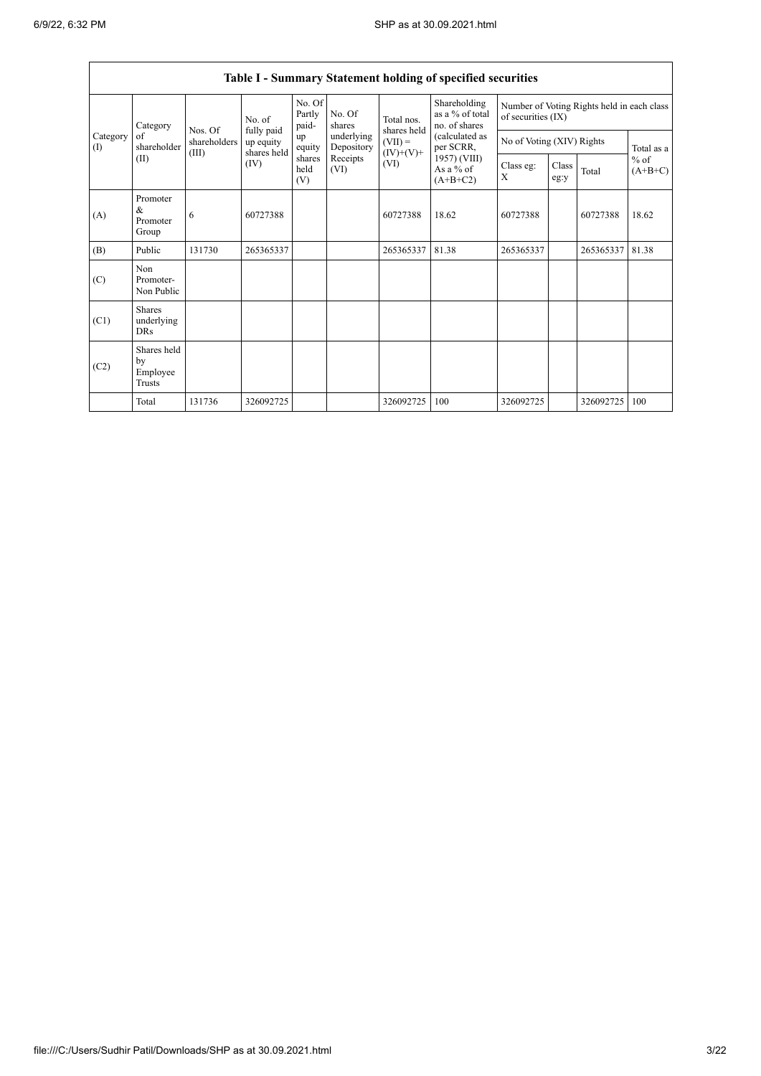|                                              |                                                                                                          |                                           |                |                           |                          |                             | Table I - Summary Statement holding of specified securities |                                                                  |  |            |       |  |
|----------------------------------------------|----------------------------------------------------------------------------------------------------------|-------------------------------------------|----------------|---------------------------|--------------------------|-----------------------------|-------------------------------------------------------------|------------------------------------------------------------------|--|------------|-------|--|
|                                              | Category                                                                                                 |                                           | No. of         | No. Of<br>Partly<br>paid- | No. Of<br>shares         | Total nos.                  | Shareholding<br>as a % of total<br>no. of shares            | Number of Voting Rights held in each class<br>of securities (IX) |  |            |       |  |
| $\alpha$ f<br>Category<br>shareholder<br>(1) | Nos. Of<br>shareholders                                                                                  | fully paid<br>up equity                   | up<br>equity   | underlying<br>Depository  | shares held<br>$(VII) =$ | (calculated as<br>per SCRR, | No of Voting (XIV) Rights                                   |                                                                  |  | Total as a |       |  |
|                                              | shares held<br>$(IV)+(V)+$<br>(III)<br>shares<br>Receipts<br>(II)<br>(IV)<br>(VI)<br>held<br>(VI)<br>(V) | 1957) (VIII)<br>As a $%$ of<br>$(A+B+C2)$ | Class eg:<br>X | Class<br>eg:y             | Total                    | $%$ of<br>$(A+B+C)$         |                                                             |                                                                  |  |            |       |  |
| (A)                                          | Promoter<br>&<br>Promoter<br>Group                                                                       | 6                                         | 60727388       |                           |                          | 60727388                    | 18.62                                                       | 60727388                                                         |  | 60727388   | 18.62 |  |
| (B)                                          | Public                                                                                                   | 131730                                    | 265365337      |                           |                          | 265365337                   | 81.38                                                       | 265365337                                                        |  | 265365337  | 81.38 |  |
| (C)                                          | Non<br>Promoter-<br>Non Public                                                                           |                                           |                |                           |                          |                             |                                                             |                                                                  |  |            |       |  |
| (C1)                                         | <b>Shares</b><br>underlying<br><b>DRs</b>                                                                |                                           |                |                           |                          |                             |                                                             |                                                                  |  |            |       |  |
| (C2)                                         | Shares held<br>by<br>Employee<br>Trusts                                                                  |                                           |                |                           |                          |                             |                                                             |                                                                  |  |            |       |  |
|                                              | Total                                                                                                    | 131736                                    | 326092725      |                           |                          | 326092725                   | 100                                                         | 326092725                                                        |  | 326092725  | 100   |  |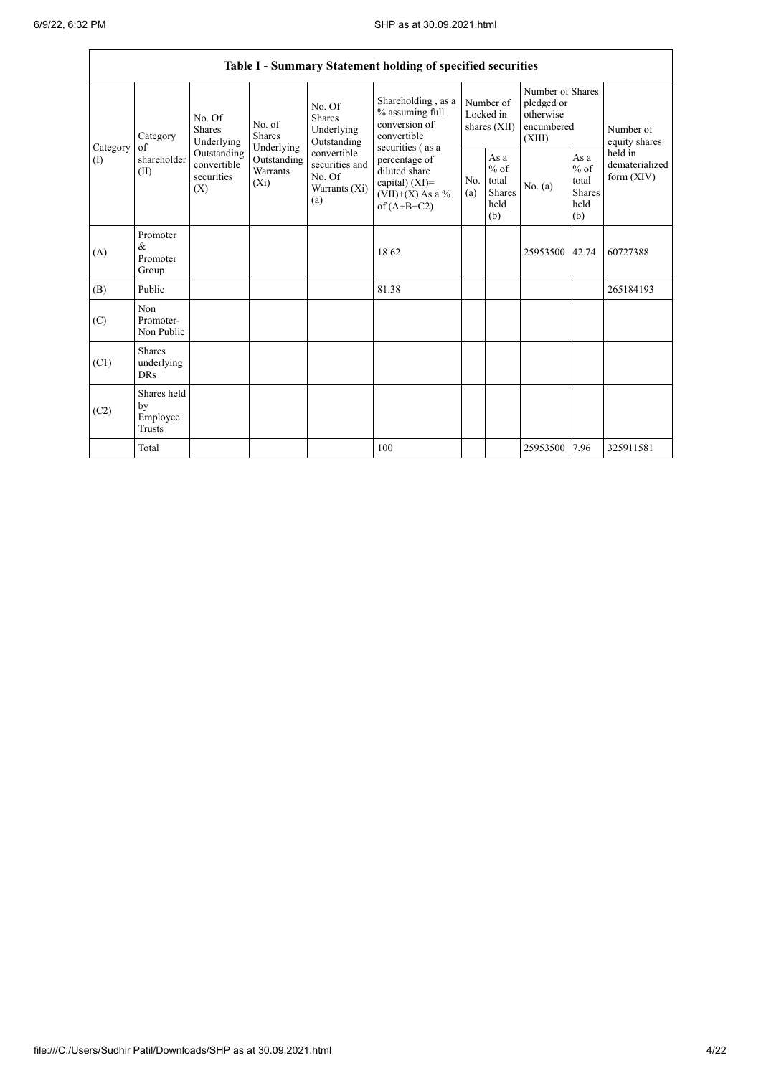|                          | Table I - Summary Statement holding of specified securities |                                                 |                                                  |                                                                 |                                                                                            |                                        |                                                  |                                                                     |                                                         |                                           |  |
|--------------------------|-------------------------------------------------------------|-------------------------------------------------|--------------------------------------------------|-----------------------------------------------------------------|--------------------------------------------------------------------------------------------|----------------------------------------|--------------------------------------------------|---------------------------------------------------------------------|---------------------------------------------------------|-------------------------------------------|--|
|                          | Category                                                    | No. Of<br>Shares<br>Underlying                  | No. of<br><b>Shares</b>                          | No. Of<br><b>Shares</b><br>Underlying<br>Outstanding            | Shareholding, as a<br>% assuming full<br>conversion of<br>convertible<br>securities (as a  | Number of<br>Locked in<br>shares (XII) |                                                  | Number of Shares<br>pledged or<br>otherwise<br>encumbered<br>(XIII) |                                                         | Number of<br>equity shares                |  |
| Category<br>$($ $\Gamma$ | of<br>shareholder<br>(II)                                   | Outstanding<br>convertible<br>securities<br>(X) | Underlying<br>Outstanding<br>Warrants<br>$(X_i)$ | convertible<br>securities and<br>No. Of<br>Warrants (Xi)<br>(a) | percentage of<br>diluted share<br>capital) $(XI)$ =<br>$(VII)+(X)$ As a %<br>of $(A+B+C2)$ | No.<br>(a)                             | As a<br>$%$ of<br>total<br>Shares<br>held<br>(b) | No. (a)                                                             | As a<br>$%$ of<br>total<br><b>Shares</b><br>held<br>(b) | held in<br>dematerialized<br>form $(XIV)$ |  |
| (A)                      | Promoter<br>$\&$<br>Promoter<br>Group                       |                                                 |                                                  |                                                                 | 18.62                                                                                      |                                        |                                                  | 25953500 42.74                                                      |                                                         | 60727388                                  |  |
| (B)                      | Public                                                      |                                                 |                                                  |                                                                 | 81.38                                                                                      |                                        |                                                  |                                                                     |                                                         | 265184193                                 |  |
| (C)                      | Non<br>Promoter-<br>Non Public                              |                                                 |                                                  |                                                                 |                                                                                            |                                        |                                                  |                                                                     |                                                         |                                           |  |
| (C1)                     | <b>Shares</b><br>underlying<br><b>DRs</b>                   |                                                 |                                                  |                                                                 |                                                                                            |                                        |                                                  |                                                                     |                                                         |                                           |  |
| (C2)                     | Shares held<br>by<br>Employee<br><b>Trusts</b>              |                                                 |                                                  |                                                                 |                                                                                            |                                        |                                                  |                                                                     |                                                         |                                           |  |
|                          | Total                                                       |                                                 |                                                  |                                                                 | 100                                                                                        |                                        |                                                  | 25953500                                                            | 7.96                                                    | 325911581                                 |  |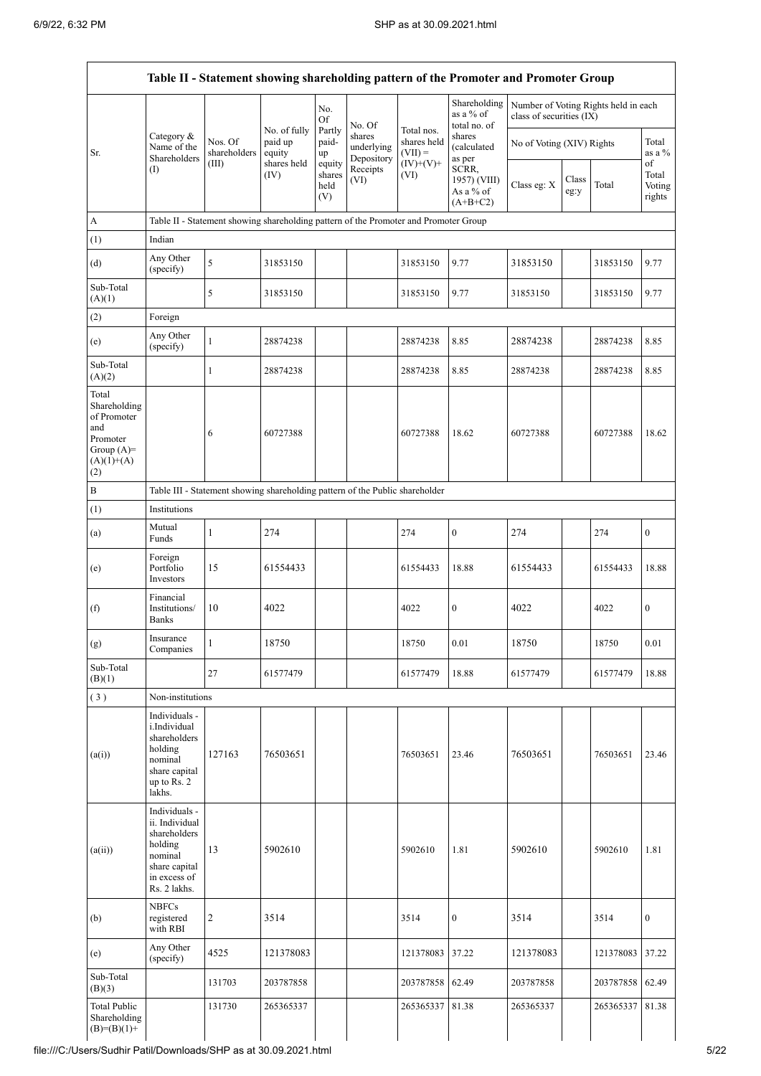|                                                                                                |                                                                                                                        |                                                                                      |                     |                                 |                                    |                          | Table II - Statement showing shareholding pattern of the Promoter and Promoter Group |                                                                  |               |           |                                 |
|------------------------------------------------------------------------------------------------|------------------------------------------------------------------------------------------------------------------------|--------------------------------------------------------------------------------------|---------------------|---------------------------------|------------------------------------|--------------------------|--------------------------------------------------------------------------------------|------------------------------------------------------------------|---------------|-----------|---------------------------------|
|                                                                                                |                                                                                                                        |                                                                                      | No. of fully        | No.<br><b>Of</b><br>Partly      | No. Of                             | Total nos.               | Shareholding<br>as a $%$ of<br>total no. of                                          | Number of Voting Rights held in each<br>class of securities (IX) |               |           |                                 |
| Sr.                                                                                            | Category &<br>Name of the<br>Shareholders                                                                              | Nos. Of<br>shareholders                                                              | paid up<br>equity   | paid-<br>up                     | shares<br>underlying<br>Depository | shares held<br>$(VII) =$ | shares<br>(calculated<br>as per                                                      | No of Voting (XIV) Rights                                        |               |           | Total<br>as a $%$               |
|                                                                                                | (I)                                                                                                                    | (III)                                                                                | shares held<br>(IV) | equity<br>shares<br>held<br>(V) | Receipts<br>(VI)                   | $(IV)+(V)+$<br>(VI)      | SCRR,<br>1957) (VIII)<br>As a % of<br>$(A+B+C2)$                                     | Class eg: X                                                      | Class<br>eg:y | Total     | of<br>Total<br>Voting<br>rights |
| A                                                                                              |                                                                                                                        | Table II - Statement showing shareholding pattern of the Promoter and Promoter Group |                     |                                 |                                    |                          |                                                                                      |                                                                  |               |           |                                 |
| (1)                                                                                            | Indian                                                                                                                 |                                                                                      |                     |                                 |                                    |                          |                                                                                      |                                                                  |               |           |                                 |
| (d)                                                                                            | Any Other<br>(specify)                                                                                                 | 5                                                                                    | 31853150            |                                 |                                    | 31853150                 | 9.77                                                                                 | 31853150                                                         |               | 31853150  | 9.77                            |
| Sub-Total<br>(A)(1)                                                                            |                                                                                                                        | 5                                                                                    | 31853150            |                                 |                                    | 31853150                 | 9.77                                                                                 | 31853150                                                         |               | 31853150  | 9.77                            |
| (2)                                                                                            | Foreign                                                                                                                |                                                                                      |                     |                                 |                                    |                          |                                                                                      |                                                                  |               |           |                                 |
| (e)                                                                                            | Any Other<br>(specify)                                                                                                 | $\mathbf{1}$                                                                         | 28874238            |                                 |                                    | 28874238                 | 8.85                                                                                 | 28874238                                                         |               | 28874238  | 8.85                            |
| Sub-Total<br>(A)(2)                                                                            |                                                                                                                        | $\mathbf{1}$                                                                         | 28874238            |                                 |                                    | 28874238                 | 8.85                                                                                 | 28874238                                                         |               | 28874238  | 8.85                            |
| Total<br>Shareholding<br>of Promoter<br>and<br>Promoter<br>Group $(A)=$<br>$(A)(1)+(A)$<br>(2) |                                                                                                                        | 6                                                                                    | 60727388            |                                 |                                    | 60727388                 | 18.62                                                                                | 60727388                                                         |               | 60727388  | 18.62                           |
| $\, {\bf B}$                                                                                   |                                                                                                                        | Table III - Statement showing shareholding pattern of the Public shareholder         |                     |                                 |                                    |                          |                                                                                      |                                                                  |               |           |                                 |
| (1)                                                                                            | Institutions                                                                                                           |                                                                                      |                     |                                 |                                    |                          |                                                                                      |                                                                  |               |           |                                 |
| (a)                                                                                            | Mutual<br>Funds                                                                                                        | $\mathbf{1}$                                                                         | 274                 |                                 |                                    | 274                      | $\boldsymbol{0}$                                                                     | 274                                                              |               | 274       | $\mathbf{0}$                    |
| (e)                                                                                            | Foreign<br>Portfolio<br>Investors                                                                                      | 15                                                                                   | 61554433            |                                 |                                    | 61554433                 | 18.88                                                                                | 61554433                                                         |               | 61554433  | 18.88                           |
| (f)                                                                                            | Financial<br>Institutions/<br><b>Banks</b>                                                                             | 10                                                                                   | 4022                |                                 |                                    | 4022                     | $\mathbf{0}$                                                                         | 4022                                                             |               | 4022      | $\boldsymbol{0}$                |
| (g)                                                                                            | Insurance<br>Companies                                                                                                 | $\mathbf{1}$                                                                         | 18750               |                                 |                                    | 18750                    | 0.01                                                                                 | 18750                                                            |               | 18750     | 0.01                            |
| Sub-Total<br>(B)(1)                                                                            |                                                                                                                        | 27                                                                                   | 61577479            |                                 |                                    | 61577479                 | 18.88                                                                                | 61577479                                                         |               | 61577479  | 18.88                           |
| (3)                                                                                            | Non-institutions                                                                                                       |                                                                                      |                     |                                 |                                    |                          |                                                                                      |                                                                  |               |           |                                 |
| (a(i))                                                                                         | Individuals -<br>i.Individual<br>shareholders<br>holding<br>nominal<br>share capital<br>up to Rs. 2<br>lakhs.          | 127163                                                                               | 76503651            |                                 |                                    | 76503651                 | 23.46                                                                                | 76503651                                                         |               | 76503651  | 23.46                           |
| (a(ii))                                                                                        | Individuals -<br>ii. Individual<br>shareholders<br>holding<br>nominal<br>share capital<br>in excess of<br>Rs. 2 lakhs. | 13                                                                                   | 5902610             |                                 |                                    | 5902610                  | 1.81                                                                                 | 5902610                                                          |               | 5902610   | 1.81                            |
| (b)                                                                                            | <b>NBFCs</b><br>registered<br>with RBI                                                                                 | $\overline{c}$                                                                       | 3514                |                                 |                                    | 3514                     | $\boldsymbol{0}$                                                                     | 3514                                                             |               | 3514      | $\mathbf{0}$                    |
| (e)                                                                                            | Any Other<br>(specify)                                                                                                 | 4525                                                                                 | 121378083           |                                 |                                    | 121378083                | 37.22                                                                                | 121378083                                                        |               | 121378083 | 37.22                           |
| Sub-Total<br>(B)(3)                                                                            |                                                                                                                        | 131703                                                                               | 203787858           |                                 |                                    | 203787858                | 62.49                                                                                | 203787858                                                        |               | 203787858 | 62.49                           |
| <b>Total Public</b><br>Shareholding<br>$(B)=(B)(1)+$                                           |                                                                                                                        | 131730                                                                               | 265365337           |                                 |                                    | 265365337                | 81.38                                                                                | 265365337                                                        |               | 265365337 | 81.38                           |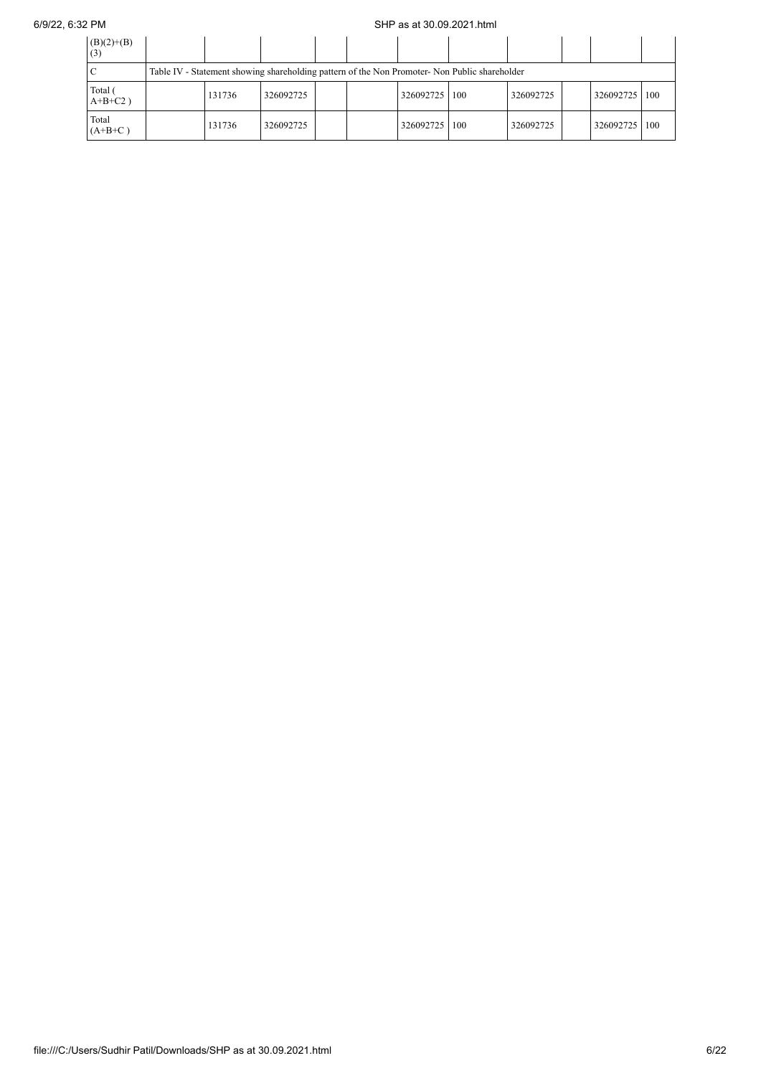## 6/9/22, 6:32 PM SHP as at 30.09.2021.html

| $(B)(2)+(B)$<br>(3)   |                                                                                               |           |  |  |           |     |           |  |                 |  |
|-----------------------|-----------------------------------------------------------------------------------------------|-----------|--|--|-----------|-----|-----------|--|-----------------|--|
|                       | Table IV - Statement showing shareholding pattern of the Non Promoter- Non Public shareholder |           |  |  |           |     |           |  |                 |  |
| Total (<br>$A+B+C2$ ) | 131736                                                                                        | 326092725 |  |  | 326092725 | 100 | 326092725 |  | 326092725   100 |  |
| Total<br>$(A+B+C)$    | 131736                                                                                        | 326092725 |  |  | 326092725 | 100 | 326092725 |  | 326092725   100 |  |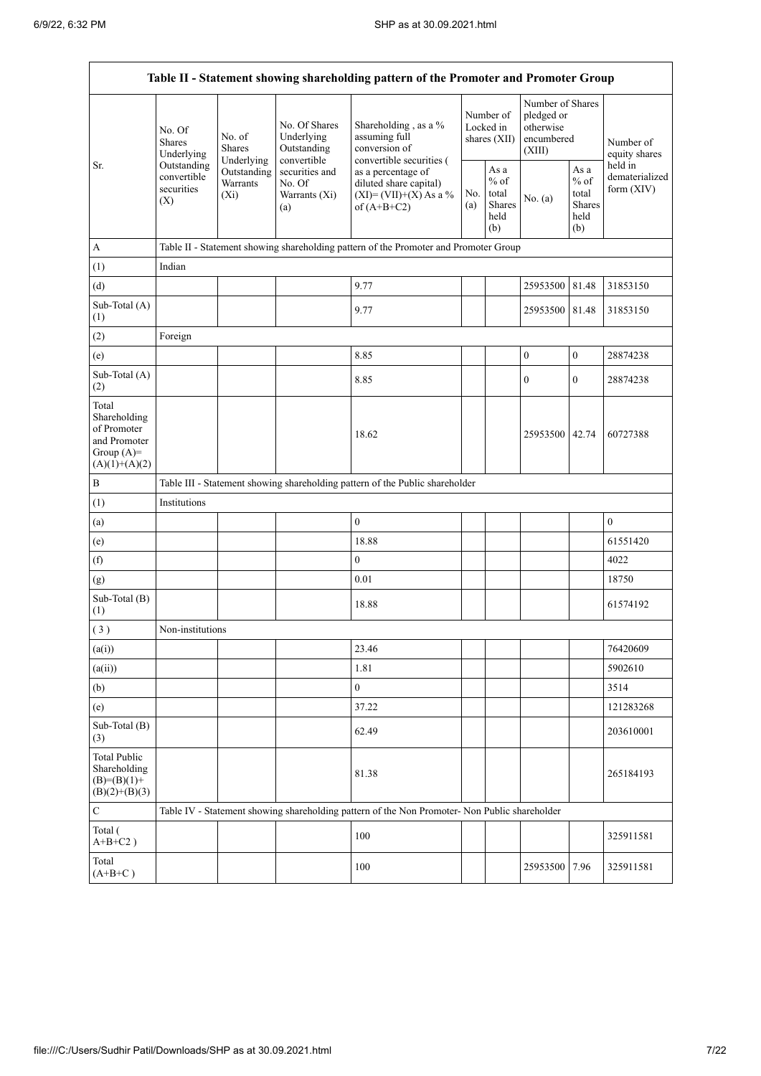.

|                                                                                         |                                                 |                                       |                                                           | Table II - Statement showing shareholding pattern of the Promoter and Promoter Group                     |  |                                                  |                                                                     |                                                         |                                           |
|-----------------------------------------------------------------------------------------|-------------------------------------------------|---------------------------------------|-----------------------------------------------------------|----------------------------------------------------------------------------------------------------------|--|--------------------------------------------------|---------------------------------------------------------------------|---------------------------------------------------------|-------------------------------------------|
|                                                                                         | No. Of<br><b>Shares</b><br>Underlying           | No. of<br><b>Shares</b><br>Underlying | No. Of Shares<br>Underlying<br>Outstanding<br>convertible | Shareholding, as a %<br>assuming full<br>conversion of<br>convertible securities (                       |  | Number of<br>Locked in<br>shares $(XII)$         | Number of Shares<br>pledged or<br>otherwise<br>encumbered<br>(XIII) |                                                         | Number of<br>equity shares                |
| Sr.                                                                                     | Outstanding<br>convertible<br>securities<br>(X) | Outstanding<br>Warrants<br>$(X_i)$    | securities and<br>No. Of<br>Warrants (Xi)<br>(a)          | as a percentage of<br>diluted share capital)<br>No.<br>$(XI) = (VII)+(X) As a %$<br>(a)<br>of $(A+B+C2)$ |  | As a<br>$%$ of<br>total<br>Shares<br>held<br>(b) | No. (a)                                                             | As a<br>$%$ of<br>total<br><b>Shares</b><br>held<br>(b) | held in<br>dematerialized<br>form $(XIV)$ |
| A                                                                                       |                                                 |                                       |                                                           | Table II - Statement showing shareholding pattern of the Promoter and Promoter Group                     |  |                                                  |                                                                     |                                                         |                                           |
| (1)                                                                                     | Indian                                          |                                       |                                                           |                                                                                                          |  |                                                  |                                                                     |                                                         |                                           |
| (d)                                                                                     |                                                 |                                       |                                                           | 9.77                                                                                                     |  |                                                  | 25953500                                                            | 81.48                                                   | 31853150                                  |
| Sub-Total (A)<br>(1)                                                                    |                                                 |                                       |                                                           | 9.77                                                                                                     |  |                                                  | 25953500 81.48                                                      |                                                         | 31853150                                  |
| (2)                                                                                     | Foreign                                         |                                       |                                                           |                                                                                                          |  |                                                  |                                                                     |                                                         |                                           |
| (e)                                                                                     |                                                 |                                       |                                                           | 8.85                                                                                                     |  |                                                  | $\boldsymbol{0}$                                                    | $\boldsymbol{0}$                                        | 28874238                                  |
| Sub-Total (A)<br>(2)                                                                    |                                                 |                                       |                                                           | 8.85                                                                                                     |  |                                                  | $\boldsymbol{0}$                                                    | $\overline{0}$                                          | 28874238                                  |
| Total<br>Shareholding<br>of Promoter<br>and Promoter<br>Group $(A)=$<br>$(A)(1)+(A)(2)$ |                                                 |                                       |                                                           | 18.62                                                                                                    |  |                                                  | 25953500 42.74                                                      |                                                         | 60727388                                  |
| $\, {\bf B}$                                                                            |                                                 |                                       |                                                           | Table III - Statement showing shareholding pattern of the Public shareholder                             |  |                                                  |                                                                     |                                                         |                                           |
| (1)                                                                                     | Institutions                                    |                                       |                                                           |                                                                                                          |  |                                                  |                                                                     |                                                         |                                           |
| (a)                                                                                     |                                                 |                                       |                                                           | $\mathbf{0}$                                                                                             |  |                                                  |                                                                     |                                                         | $\mathbf{0}$                              |
| (e)                                                                                     |                                                 |                                       |                                                           | 18.88                                                                                                    |  |                                                  |                                                                     |                                                         | 61551420                                  |
| (f)                                                                                     |                                                 |                                       |                                                           | $\boldsymbol{0}$                                                                                         |  |                                                  |                                                                     |                                                         | 4022                                      |
| (g)                                                                                     |                                                 |                                       |                                                           | 0.01                                                                                                     |  |                                                  |                                                                     |                                                         | 18750                                     |
| Sub-Total (B)<br>(1)                                                                    |                                                 |                                       |                                                           | 18.88                                                                                                    |  |                                                  |                                                                     |                                                         | 61574192                                  |
| (3)                                                                                     | Non-institutions                                |                                       |                                                           |                                                                                                          |  |                                                  |                                                                     |                                                         |                                           |
| (a(i))                                                                                  |                                                 |                                       |                                                           | 23.46                                                                                                    |  |                                                  |                                                                     |                                                         | 76420609                                  |
| (a(ii))                                                                                 |                                                 |                                       |                                                           | 1.81                                                                                                     |  |                                                  |                                                                     |                                                         | 5902610                                   |
| (b)                                                                                     |                                                 |                                       |                                                           | $\mathbf{0}$                                                                                             |  |                                                  |                                                                     |                                                         | 3514                                      |
| (e)                                                                                     |                                                 |                                       |                                                           | 37.22                                                                                                    |  |                                                  |                                                                     |                                                         | 121283268                                 |
| Sub-Total (B)<br>(3)                                                                    |                                                 |                                       |                                                           | 62.49                                                                                                    |  |                                                  |                                                                     |                                                         | 203610001                                 |
| <b>Total Public</b><br>Shareholding<br>$(B)= (B)(1) +$<br>$(B)(2)+(B)(3)$               |                                                 |                                       |                                                           | 81.38                                                                                                    |  |                                                  |                                                                     |                                                         | 265184193                                 |
| $\mathbf C$                                                                             |                                                 |                                       |                                                           | Table IV - Statement showing shareholding pattern of the Non Promoter- Non Public shareholder            |  |                                                  |                                                                     |                                                         |                                           |
| Total (<br>$A+B+C2$ )                                                                   |                                                 |                                       |                                                           | 100                                                                                                      |  |                                                  |                                                                     |                                                         | 325911581                                 |
| Total<br>$(A+B+C)$                                                                      |                                                 |                                       |                                                           | 100                                                                                                      |  |                                                  | 25953500 7.96                                                       |                                                         | 325911581                                 |

÷,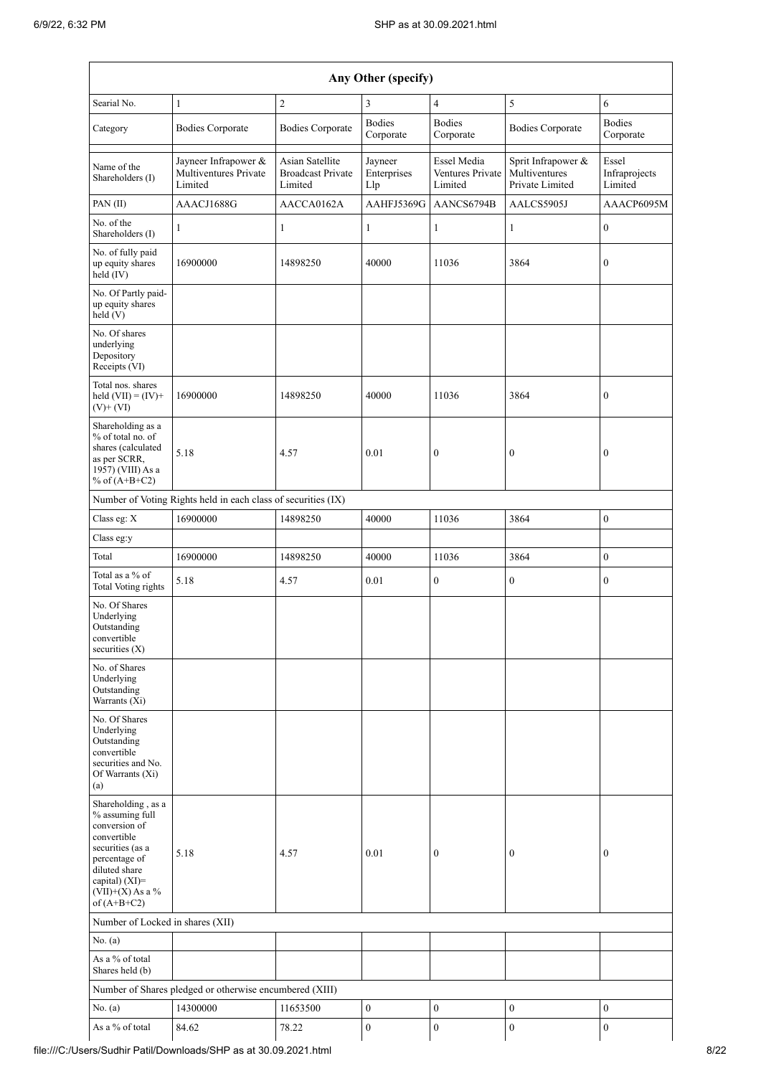| Searial No.<br>Category<br>Name of the<br>Shareholders (I)<br>PAN (II)<br>No. of the<br>Shareholders (I)<br>No. of fully paid<br>up equity shares<br>held $(IV)$                     | $\mathbf{1}$<br><b>Bodies Corporate</b><br>Jayneer Infrapower &<br>Multiventures Private<br>Limited<br>AAACJ1688G<br>$\mathbf{1}$ | $\overline{c}$<br><b>Bodies Corporate</b><br><b>Asian Satellite</b><br><b>Broadcast Private</b><br>Limited | 3<br><b>Bodies</b><br>Corporate<br>Jayneer | $\overline{4}$<br><b>Bodies</b><br>Corporate      | 5<br><b>Bodies Corporate</b>                           | 6<br><b>Bodies</b>                |
|--------------------------------------------------------------------------------------------------------------------------------------------------------------------------------------|-----------------------------------------------------------------------------------------------------------------------------------|------------------------------------------------------------------------------------------------------------|--------------------------------------------|---------------------------------------------------|--------------------------------------------------------|-----------------------------------|
|                                                                                                                                                                                      |                                                                                                                                   |                                                                                                            |                                            |                                                   |                                                        |                                   |
|                                                                                                                                                                                      |                                                                                                                                   |                                                                                                            |                                            |                                                   |                                                        | Corporate                         |
|                                                                                                                                                                                      |                                                                                                                                   |                                                                                                            | Enterprises<br>Llp                         | <b>Essel Media</b><br>Ventures Private<br>Limited | Sprit Infrapower &<br>Multiventures<br>Private Limited | Essel<br>Infraprojects<br>Limited |
|                                                                                                                                                                                      |                                                                                                                                   | AACCA0162A                                                                                                 | AAHFJ5369G                                 | AANCS6794B                                        | AALCS5905J                                             | AAACP6095M                        |
|                                                                                                                                                                                      |                                                                                                                                   | 1                                                                                                          | $\mathbf{1}$                               | $\mathbf{1}$                                      | $\mathbf{1}$                                           | $\boldsymbol{0}$                  |
|                                                                                                                                                                                      | 16900000                                                                                                                          | 14898250                                                                                                   | 40000                                      | 11036                                             | 3864                                                   | $\boldsymbol{0}$                  |
| No. Of Partly paid-<br>up equity shares<br>held(V)                                                                                                                                   |                                                                                                                                   |                                                                                                            |                                            |                                                   |                                                        |                                   |
| No. Of shares<br>underlying<br>Depository<br>Receipts (VI)                                                                                                                           |                                                                                                                                   |                                                                                                            |                                            |                                                   |                                                        |                                   |
| Total nos. shares<br>held $(VII) = (IV) +$<br>$(V)$ + $(VI)$                                                                                                                         | 16900000                                                                                                                          | 14898250                                                                                                   | 40000                                      | 11036                                             | 3864                                                   | $\boldsymbol{0}$                  |
| Shareholding as a<br>% of total no. of<br>shares (calculated<br>as per SCRR,<br>1957) (VIII) As a<br>% of $(A+B+C2)$                                                                 | 5.18                                                                                                                              | 4.57                                                                                                       | 0.01                                       | $\boldsymbol{0}$                                  | $\boldsymbol{0}$                                       | $\boldsymbol{0}$                  |
|                                                                                                                                                                                      | Number of Voting Rights held in each class of securities (IX)                                                                     |                                                                                                            |                                            |                                                   |                                                        |                                   |
| Class eg: X                                                                                                                                                                          | 16900000                                                                                                                          | 14898250                                                                                                   | 40000                                      | 11036                                             | 3864                                                   | $\boldsymbol{0}$                  |
| Class eg:y                                                                                                                                                                           |                                                                                                                                   |                                                                                                            |                                            |                                                   |                                                        |                                   |
| Total                                                                                                                                                                                | 16900000                                                                                                                          | 14898250                                                                                                   | 40000                                      | 11036                                             | 3864                                                   | $\boldsymbol{0}$                  |
| Total as a % of<br>Total Voting rights                                                                                                                                               | 5.18                                                                                                                              | 4.57                                                                                                       | 0.01                                       | $\boldsymbol{0}$                                  | $\boldsymbol{0}$                                       | $\boldsymbol{0}$                  |
| No. Of Shares<br>Underlying<br>Outstanding<br>convertible<br>securities $(X)$                                                                                                        |                                                                                                                                   |                                                                                                            |                                            |                                                   |                                                        |                                   |
| No. of Shares<br>Underlying<br>Outstanding<br>Warrants (Xi)                                                                                                                          |                                                                                                                                   |                                                                                                            |                                            |                                                   |                                                        |                                   |
| No. Of Shares<br>Underlying<br>Outstanding<br>convertible<br>securities and No.<br>Of Warrants (Xi)<br>(a)                                                                           |                                                                                                                                   |                                                                                                            |                                            |                                                   |                                                        |                                   |
| Shareholding, as a<br>% assuming full<br>conversion of<br>convertible<br>securities (as a<br>percentage of<br>diluted share<br>capital) (XI)=<br>$(VII)+(X)$ As a %<br>of $(A+B+C2)$ | 5.18                                                                                                                              | 4.57                                                                                                       | 0.01                                       | $\mathbf{0}$                                      | $\bf{0}$                                               | $\mathbf{0}$                      |
| Number of Locked in shares (XII)                                                                                                                                                     |                                                                                                                                   |                                                                                                            |                                            |                                                   |                                                        |                                   |
| No. (a)                                                                                                                                                                              |                                                                                                                                   |                                                                                                            |                                            |                                                   |                                                        |                                   |
| As a $\%$ of total<br>Shares held (b)                                                                                                                                                |                                                                                                                                   |                                                                                                            |                                            |                                                   |                                                        |                                   |
|                                                                                                                                                                                      | Number of Shares pledged or otherwise encumbered (XIII)                                                                           |                                                                                                            |                                            |                                                   |                                                        |                                   |
| No. (a)                                                                                                                                                                              | 14300000                                                                                                                          | 11653500                                                                                                   | $\boldsymbol{0}$                           | $\boldsymbol{0}$                                  | $\boldsymbol{0}$                                       | $\boldsymbol{0}$                  |
| As a % of total                                                                                                                                                                      | 84.62                                                                                                                             | 78.22                                                                                                      | $\boldsymbol{0}$                           | $\boldsymbol{0}$                                  | $\boldsymbol{0}$                                       | $\mathbf{0}$                      |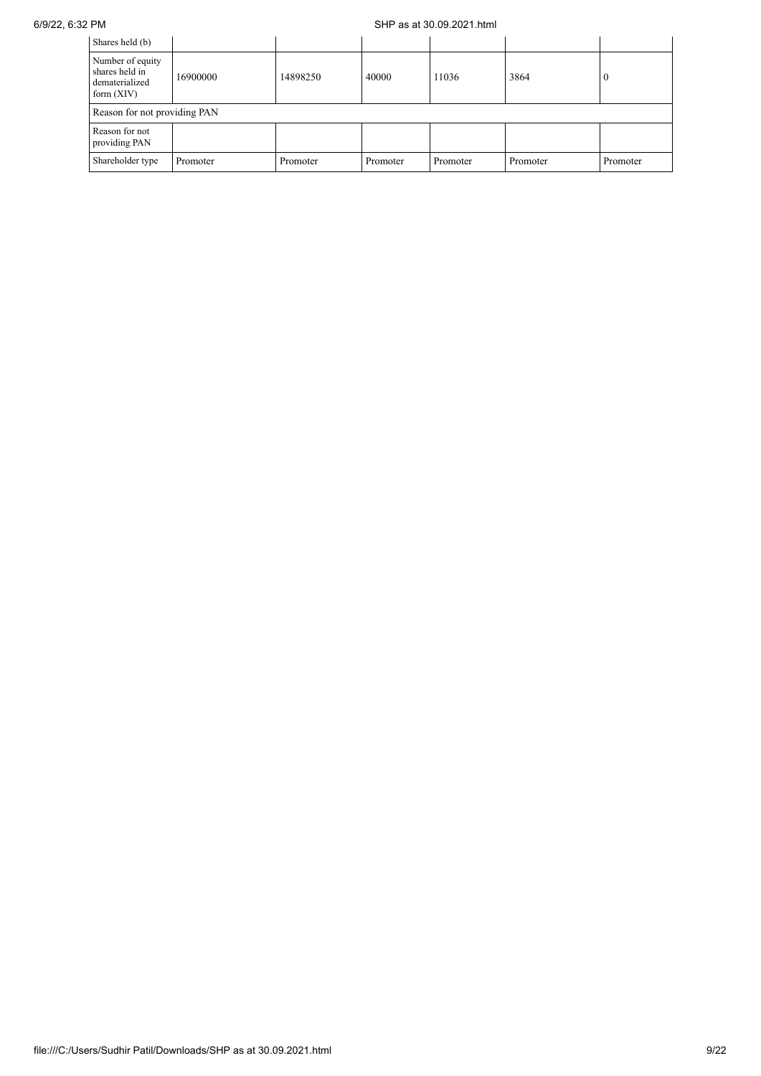## 6/9/22, 6:32 PM SHP as at 30.09.2021.html

| Shares held (b)                                                      |          |          |          |          |          |          |
|----------------------------------------------------------------------|----------|----------|----------|----------|----------|----------|
| Number of equity<br>shares held in<br>dematerialized<br>form $(XIV)$ | 16900000 | 14898250 | 40000    | 11036    | 3864     | $\theta$ |
| Reason for not providing PAN                                         |          |          |          |          |          |          |
| Reason for not<br>providing PAN                                      |          |          |          |          |          |          |
| Shareholder type                                                     | Promoter | Promoter | Promoter | Promoter | Promoter | Promoter |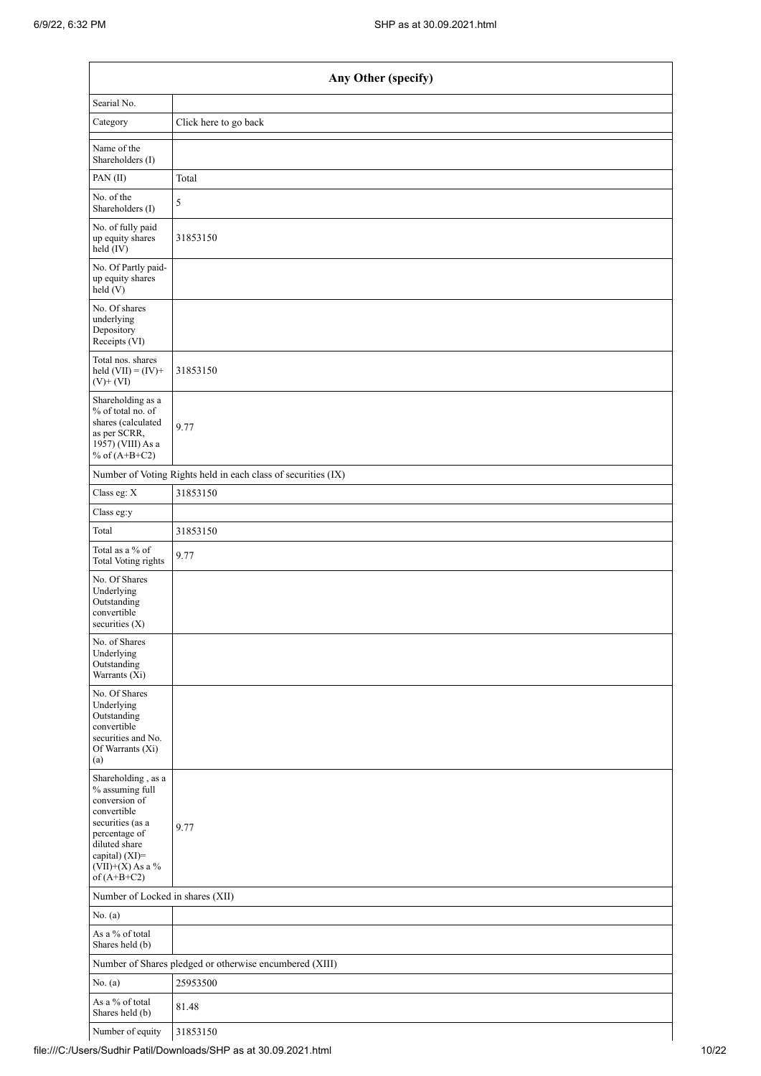|                                                                                                                                                                                      | Any Other (specify)                                           |
|--------------------------------------------------------------------------------------------------------------------------------------------------------------------------------------|---------------------------------------------------------------|
| Searial No.                                                                                                                                                                          |                                                               |
| Category                                                                                                                                                                             | Click here to go back                                         |
| Name of the<br>Shareholders (I)                                                                                                                                                      |                                                               |
| PAN(II)                                                                                                                                                                              | Total                                                         |
| No. of the<br>Shareholders (I)                                                                                                                                                       | 5                                                             |
| No. of fully paid<br>up equity shares<br>held (IV)                                                                                                                                   | 31853150                                                      |
| No. Of Partly paid-<br>up equity shares<br>held(V)                                                                                                                                   |                                                               |
| No. Of shares<br>underlying<br>Depository<br>Receipts (VI)                                                                                                                           |                                                               |
| Total nos. shares<br>held $(VII) = (IV) +$<br>$(V)$ + $(VI)$                                                                                                                         | 31853150                                                      |
| Shareholding as a<br>% of total no. of<br>shares (calculated<br>as per SCRR,<br>1957) (VIII) As a<br>% of $(A+B+C2)$                                                                 | 9.77                                                          |
|                                                                                                                                                                                      | Number of Voting Rights held in each class of securities (IX) |
| Class eg: X                                                                                                                                                                          | 31853150                                                      |
| Class eg:y                                                                                                                                                                           |                                                               |
| Total                                                                                                                                                                                | 31853150                                                      |
| Total as a % of<br>Total Voting rights                                                                                                                                               | 9.77                                                          |
| No. Of Shares<br>Underlying<br>Outstanding<br>convertible<br>securities (X)                                                                                                          |                                                               |
| No. of Shares<br>Underlying<br>Outstanding<br>Warrants (Xi)                                                                                                                          |                                                               |
| No. Of Shares<br>Underlying<br>Outstanding<br>convertible<br>securities and No.<br>Of Warrants (Xi)<br>(a)                                                                           |                                                               |
| Shareholding, as a<br>% assuming full<br>conversion of<br>convertible<br>securities (as a<br>percentage of<br>diluted share<br>capital) (XI)=<br>$(VII)+(X)$ As a %<br>of $(A+B+C2)$ | 9.77                                                          |
| Number of Locked in shares (XII)                                                                                                                                                     |                                                               |
| No. (a)                                                                                                                                                                              |                                                               |
| As a % of total<br>Shares held (b)                                                                                                                                                   |                                                               |
|                                                                                                                                                                                      | Number of Shares pledged or otherwise encumbered (XIII)       |
| No. (a)                                                                                                                                                                              | 25953500                                                      |
| As a % of total<br>Shares held (b)                                                                                                                                                   | 81.48                                                         |
| Number of equity                                                                                                                                                                     | 31853150                                                      |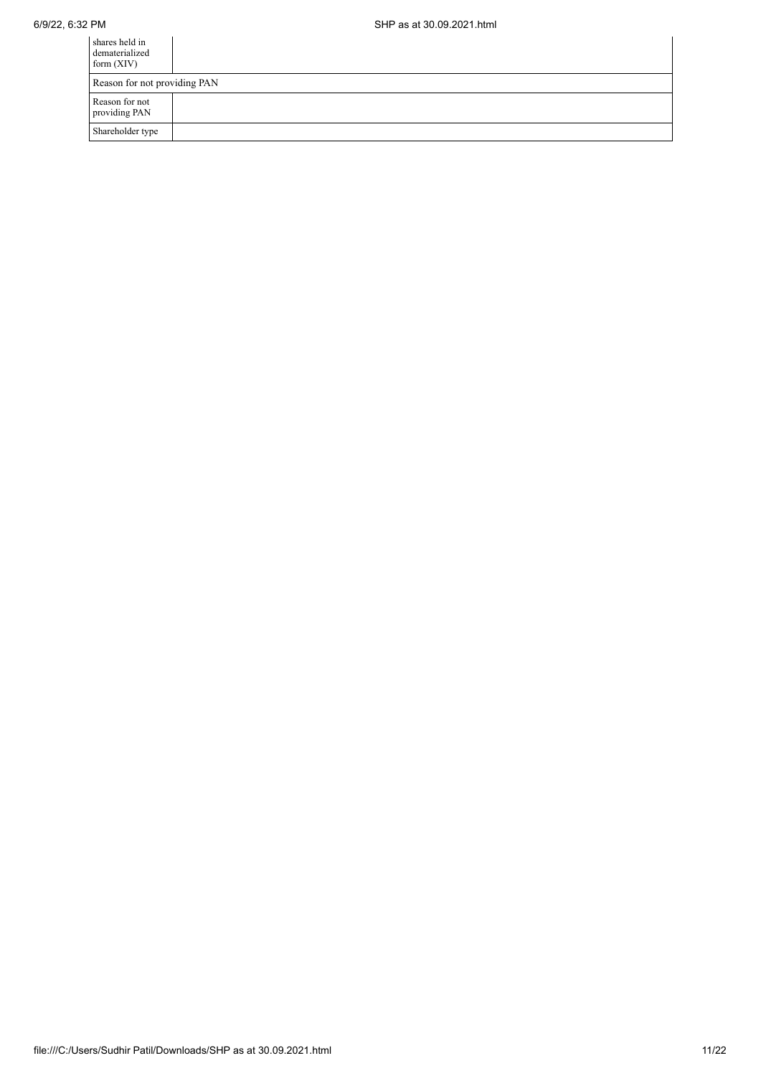| shares held in<br>dematerialized<br>form $(XIV)$ |  |  |  |  |
|--------------------------------------------------|--|--|--|--|
| Reason for not providing PAN                     |  |  |  |  |
| Reason for not<br>providing PAN                  |  |  |  |  |
| Shareholder type                                 |  |  |  |  |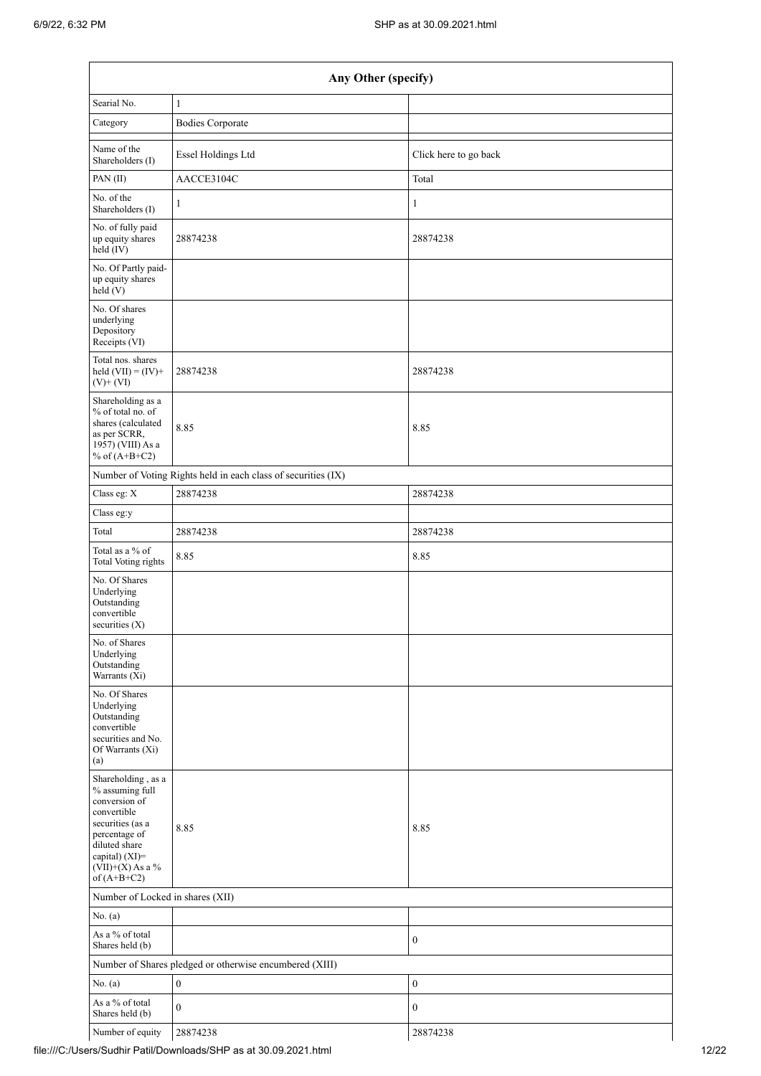| Any Other (specify)                                                                                                                                                                  |                                                               |                       |  |  |  |  |  |  |
|--------------------------------------------------------------------------------------------------------------------------------------------------------------------------------------|---------------------------------------------------------------|-----------------------|--|--|--|--|--|--|
| Searial No.                                                                                                                                                                          | $\mathbf{1}$                                                  |                       |  |  |  |  |  |  |
| Category                                                                                                                                                                             | <b>Bodies Corporate</b>                                       |                       |  |  |  |  |  |  |
| Name of the<br>Shareholders (I)                                                                                                                                                      | Essel Holdings Ltd                                            | Click here to go back |  |  |  |  |  |  |
| PAN(II)                                                                                                                                                                              | AACCE3104C                                                    | Total                 |  |  |  |  |  |  |
| No. of the<br>Shareholders (I)                                                                                                                                                       | $\mathbf{1}$                                                  | $\mathbf{1}$          |  |  |  |  |  |  |
| No. of fully paid<br>up equity shares<br>held (IV)                                                                                                                                   | 28874238                                                      | 28874238              |  |  |  |  |  |  |
| No. Of Partly paid-<br>up equity shares<br>held (V)                                                                                                                                  |                                                               |                       |  |  |  |  |  |  |
| No. Of shares<br>underlying<br>Depository<br>Receipts (VI)                                                                                                                           |                                                               |                       |  |  |  |  |  |  |
| Total nos. shares<br>held $(VII) = (IV) +$<br>$(V)$ + $(VI)$                                                                                                                         | 28874238                                                      | 28874238              |  |  |  |  |  |  |
| Shareholding as a<br>% of total no. of<br>shares (calculated<br>as per SCRR,<br>1957) (VIII) As a<br>% of $(A+B+C2)$                                                                 | 8.85                                                          | 8.85                  |  |  |  |  |  |  |
|                                                                                                                                                                                      | Number of Voting Rights held in each class of securities (IX) |                       |  |  |  |  |  |  |
| Class eg: X                                                                                                                                                                          | 28874238                                                      | 28874238              |  |  |  |  |  |  |
| Class eg:y                                                                                                                                                                           |                                                               |                       |  |  |  |  |  |  |
| Total                                                                                                                                                                                | 28874238                                                      | 28874238              |  |  |  |  |  |  |
| Total as a % of<br><b>Total Voting rights</b>                                                                                                                                        | 8.85                                                          | 8.85                  |  |  |  |  |  |  |
| No. Of Shares<br>Underlying<br>Outstanding<br>convertible<br>securities (X)                                                                                                          |                                                               |                       |  |  |  |  |  |  |
| No. of Shares<br>Underlying<br>Outstanding<br>Warrants (Xi)                                                                                                                          |                                                               |                       |  |  |  |  |  |  |
| No. Of Shares<br>Underlying<br>Outstanding<br>convertible<br>securities and No.<br>Of Warrants (Xi)<br>(a)                                                                           |                                                               |                       |  |  |  |  |  |  |
| Shareholding, as a<br>% assuming full<br>conversion of<br>convertible<br>securities (as a<br>percentage of<br>diluted share<br>capital) (XI)=<br>$(VII)+(X)$ As a %<br>of $(A+B+C2)$ | 8.85                                                          | 8.85                  |  |  |  |  |  |  |
| Number of Locked in shares (XII)                                                                                                                                                     |                                                               |                       |  |  |  |  |  |  |
| No. (a)                                                                                                                                                                              |                                                               |                       |  |  |  |  |  |  |
| As a % of total<br>Shares held (b)                                                                                                                                                   |                                                               | $\boldsymbol{0}$      |  |  |  |  |  |  |
|                                                                                                                                                                                      | Number of Shares pledged or otherwise encumbered (XIII)       |                       |  |  |  |  |  |  |
| No. (a)                                                                                                                                                                              | $\boldsymbol{0}$                                              | $\boldsymbol{0}$      |  |  |  |  |  |  |
| As a % of total<br>Shares held (b)                                                                                                                                                   | $\mathbf{0}$                                                  | $\boldsymbol{0}$      |  |  |  |  |  |  |
| Number of equity                                                                                                                                                                     | 28874238                                                      | 28874238              |  |  |  |  |  |  |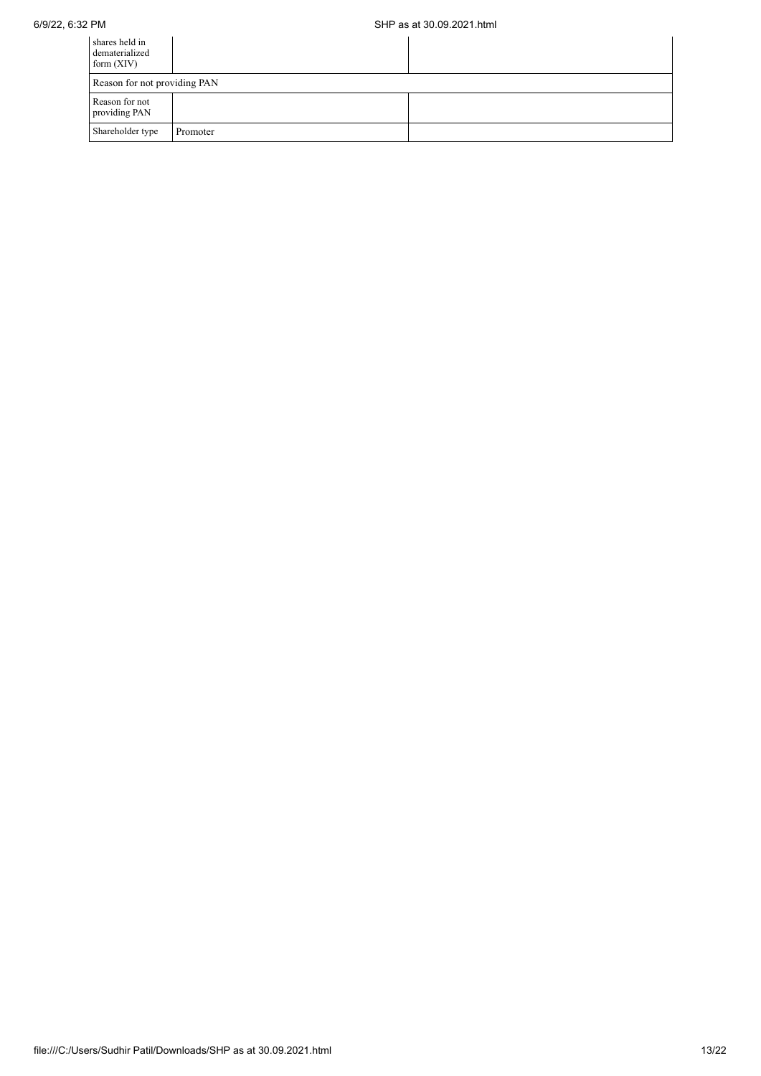| shares held in<br>dematerialized<br>form $(XIV)$ |          |  |  |  |  |  |
|--------------------------------------------------|----------|--|--|--|--|--|
| Reason for not providing PAN                     |          |  |  |  |  |  |
| Reason for not<br>providing PAN                  |          |  |  |  |  |  |
| Shareholder type                                 | Promoter |  |  |  |  |  |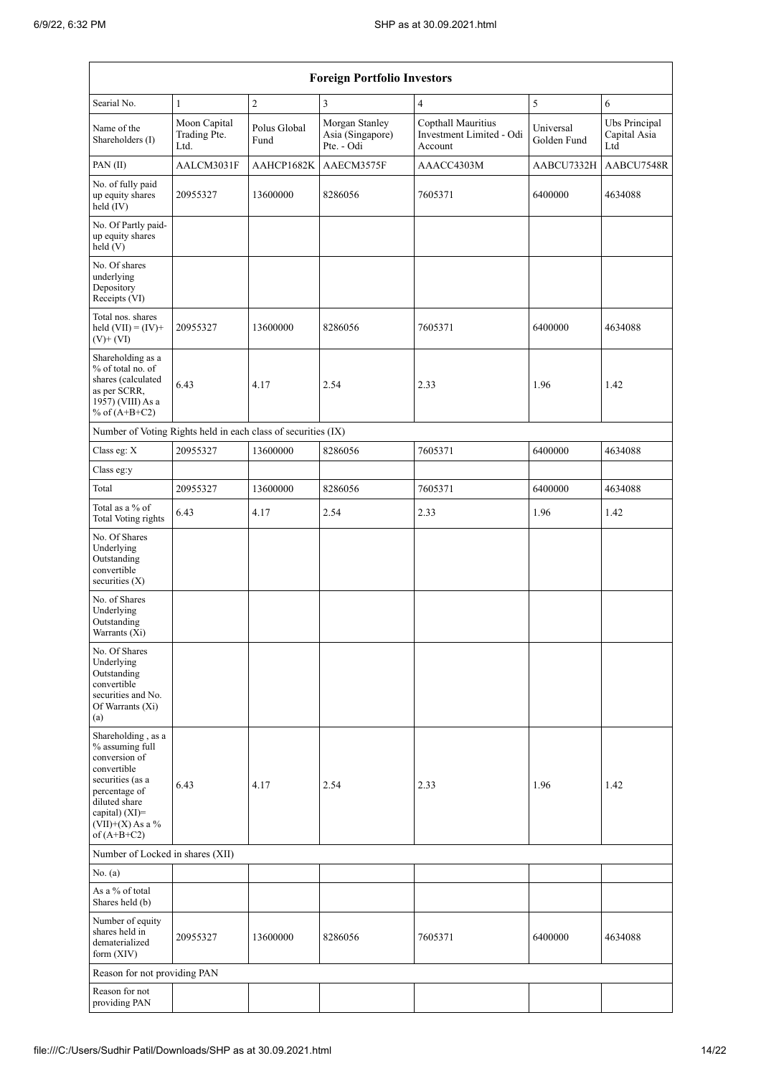| <b>Foreign Portfolio Investors</b>                                                                                                                                                 |                                      |                      |                                                  |                                                           |                          |                                      |  |  |
|------------------------------------------------------------------------------------------------------------------------------------------------------------------------------------|--------------------------------------|----------------------|--------------------------------------------------|-----------------------------------------------------------|--------------------------|--------------------------------------|--|--|
| Searial No.                                                                                                                                                                        | $\mathbf{1}$                         | $\overline{c}$       | 3                                                | $\overline{4}$                                            | 5                        | 6                                    |  |  |
| Name of the<br>Shareholders (I)                                                                                                                                                    | Moon Capital<br>Trading Pte.<br>Ltd. | Polus Global<br>Fund | Morgan Stanley<br>Asia (Singapore)<br>Pte. - Odi | Copthall Mauritius<br>Investment Limited - Odi<br>Account | Universal<br>Golden Fund | Ubs Principal<br>Capital Asia<br>Ltd |  |  |
| PAN(II)                                                                                                                                                                            | AALCM3031F                           | AAHCP1682K           | AAECM3575F                                       | AAACC4303M                                                | AABCU7332H               | AABCU7548R                           |  |  |
| No. of fully paid<br>up equity shares<br>held (IV)                                                                                                                                 | 20955327                             | 13600000             | 8286056                                          | 7605371                                                   | 6400000                  | 4634088                              |  |  |
| No. Of Partly paid-<br>up equity shares<br>held(V)                                                                                                                                 |                                      |                      |                                                  |                                                           |                          |                                      |  |  |
| No. Of shares<br>underlying<br>Depository<br>Receipts (VI)                                                                                                                         |                                      |                      |                                                  |                                                           |                          |                                      |  |  |
| Total nos. shares<br>held $(VII) = (IV) +$<br>$(V)$ + $(VI)$                                                                                                                       | 20955327                             | 13600000             | 8286056                                          | 7605371                                                   | 6400000                  | 4634088                              |  |  |
| Shareholding as a<br>% of total no. of<br>shares (calculated<br>as per SCRR,<br>1957) (VIII) As a<br>% of $(A+B+C2)$                                                               | 6.43                                 | 4.17                 | 2.54                                             | 2.33                                                      | 1.96                     | 1.42                                 |  |  |
| Number of Voting Rights held in each class of securities (IX)                                                                                                                      |                                      |                      |                                                  |                                                           |                          |                                      |  |  |
| Class eg: X                                                                                                                                                                        | 20955327                             | 13600000             | 8286056                                          | 7605371                                                   | 6400000                  | 4634088                              |  |  |
| Class eg:y                                                                                                                                                                         |                                      |                      |                                                  |                                                           |                          |                                      |  |  |
| Total                                                                                                                                                                              | 20955327                             | 13600000             | 8286056                                          | 7605371                                                   | 6400000                  | 4634088                              |  |  |
| Total as a % of<br><b>Total Voting rights</b>                                                                                                                                      | 6.43                                 | 4.17                 | 2.54                                             | 2.33                                                      | 1.96                     | 1.42                                 |  |  |
| No. Of Shares<br>Underlying<br>Outstanding<br>convertible<br>securities (X)                                                                                                        |                                      |                      |                                                  |                                                           |                          |                                      |  |  |
| No. of Shares<br>Underlying<br>Outstanding<br>Warrants (Xi)                                                                                                                        |                                      |                      |                                                  |                                                           |                          |                                      |  |  |
| No. Of Shares<br>Underlying<br>Outstanding<br>convertible<br>securities and No.<br>Of Warrants (Xi)<br>(a)                                                                         |                                      |                      |                                                  |                                                           |                          |                                      |  |  |
| Shareholding, as a<br>% assuming full<br>conversion of<br>convertible<br>securities (as a<br>percentage of<br>diluted share<br>capital) (XI)=<br>(VII)+(X) As a %<br>of $(A+B+C2)$ | 6.43                                 | 4.17                 | 2.54                                             | 2.33                                                      | 1.96                     | 1.42                                 |  |  |
| Number of Locked in shares (XII)                                                                                                                                                   |                                      |                      |                                                  |                                                           |                          |                                      |  |  |
| No. (a)                                                                                                                                                                            |                                      |                      |                                                  |                                                           |                          |                                      |  |  |
| As a % of total<br>Shares held (b)                                                                                                                                                 |                                      |                      |                                                  |                                                           |                          |                                      |  |  |
| Number of equity<br>shares held in<br>dematerialized<br>form $(XIV)$                                                                                                               | 20955327                             | 13600000             | 8286056                                          | 7605371                                                   | 6400000                  | 4634088                              |  |  |
| Reason for not providing PAN                                                                                                                                                       |                                      |                      |                                                  |                                                           |                          |                                      |  |  |
| Reason for not<br>providing PAN                                                                                                                                                    |                                      |                      |                                                  |                                                           |                          |                                      |  |  |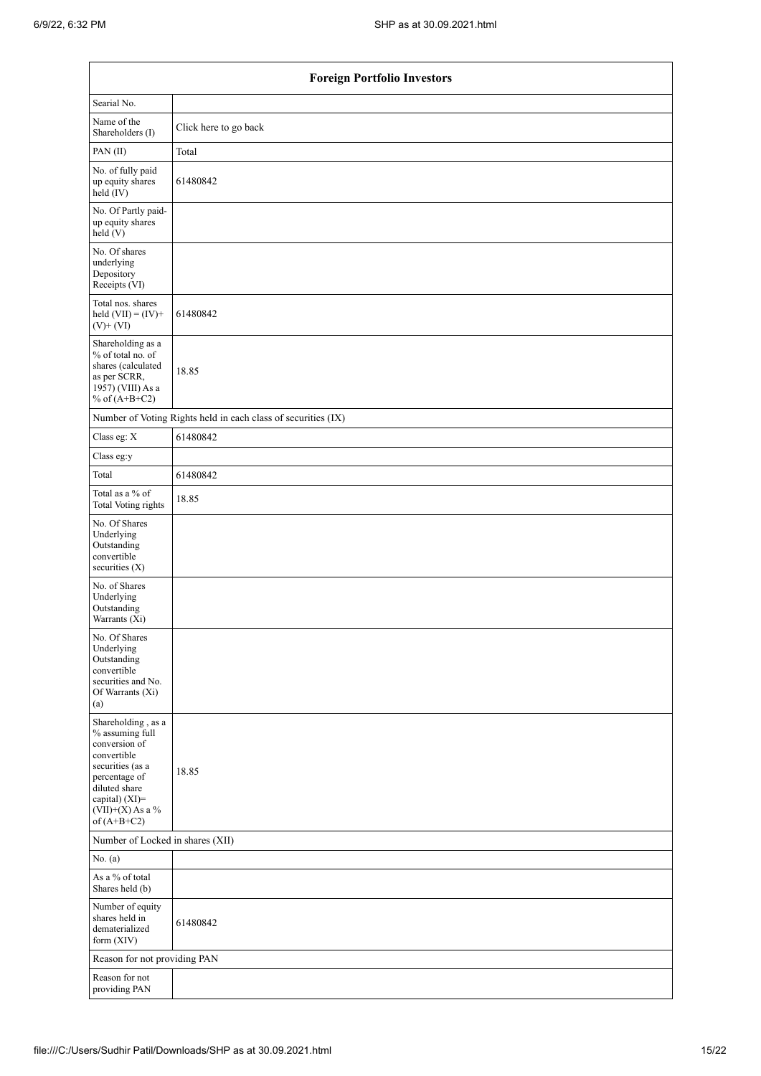| <b>Foreign Portfolio Investors</b>                                                                                                                                                      |                                                               |  |  |  |  |  |  |
|-----------------------------------------------------------------------------------------------------------------------------------------------------------------------------------------|---------------------------------------------------------------|--|--|--|--|--|--|
| Searial No.                                                                                                                                                                             |                                                               |  |  |  |  |  |  |
| Name of the<br>Shareholders (I)                                                                                                                                                         | Click here to go back                                         |  |  |  |  |  |  |
| PAN (II)                                                                                                                                                                                | Total                                                         |  |  |  |  |  |  |
| No. of fully paid<br>up equity shares<br>held (IV)                                                                                                                                      | 61480842                                                      |  |  |  |  |  |  |
| No. Of Partly paid-<br>up equity shares<br>held(V)                                                                                                                                      |                                                               |  |  |  |  |  |  |
| No. Of shares<br>underlying<br>Depository<br>Receipts (VI)                                                                                                                              |                                                               |  |  |  |  |  |  |
| Total nos. shares<br>held $(VII) = (IV) +$<br>$(V)$ + $(VI)$                                                                                                                            | 61480842                                                      |  |  |  |  |  |  |
| Shareholding as a<br>% of total no. of<br>shares (calculated<br>as per SCRR,<br>1957) (VIII) As a<br>% of $(A+B+C2)$                                                                    | 18.85                                                         |  |  |  |  |  |  |
|                                                                                                                                                                                         | Number of Voting Rights held in each class of securities (IX) |  |  |  |  |  |  |
| Class eg: X                                                                                                                                                                             | 61480842                                                      |  |  |  |  |  |  |
| Class eg:y                                                                                                                                                                              |                                                               |  |  |  |  |  |  |
| Total                                                                                                                                                                                   | 61480842                                                      |  |  |  |  |  |  |
| Total as a % of<br>Total Voting rights                                                                                                                                                  | 18.85                                                         |  |  |  |  |  |  |
| No. Of Shares<br>Underlying<br>Outstanding<br>convertible<br>securities (X)                                                                                                             |                                                               |  |  |  |  |  |  |
| No. of Shares<br>Underlying<br>Outstanding<br>Warrants (Xi)                                                                                                                             |                                                               |  |  |  |  |  |  |
| No. Of Shares<br>Underlying<br>Outstanding<br>convertible<br>securities and No.<br>Of Warrants (Xi)<br>(a)                                                                              |                                                               |  |  |  |  |  |  |
| Shareholding, as a<br>$\%$ assuming full<br>conversion of<br>convertible<br>securities (as a<br>percentage of<br>diluted share<br>capital) (XI)=<br>$(VII)+(X)$ As a %<br>of $(A+B+C2)$ | 18.85                                                         |  |  |  |  |  |  |
| Number of Locked in shares (XII)                                                                                                                                                        |                                                               |  |  |  |  |  |  |
| No. (a)                                                                                                                                                                                 |                                                               |  |  |  |  |  |  |
| As a % of total<br>Shares held (b)                                                                                                                                                      |                                                               |  |  |  |  |  |  |
| Number of equity<br>shares held in<br>dematerialized<br>form (XIV)                                                                                                                      | 61480842                                                      |  |  |  |  |  |  |
| Reason for not providing PAN                                                                                                                                                            |                                                               |  |  |  |  |  |  |
| Reason for not<br>providing PAN                                                                                                                                                         |                                                               |  |  |  |  |  |  |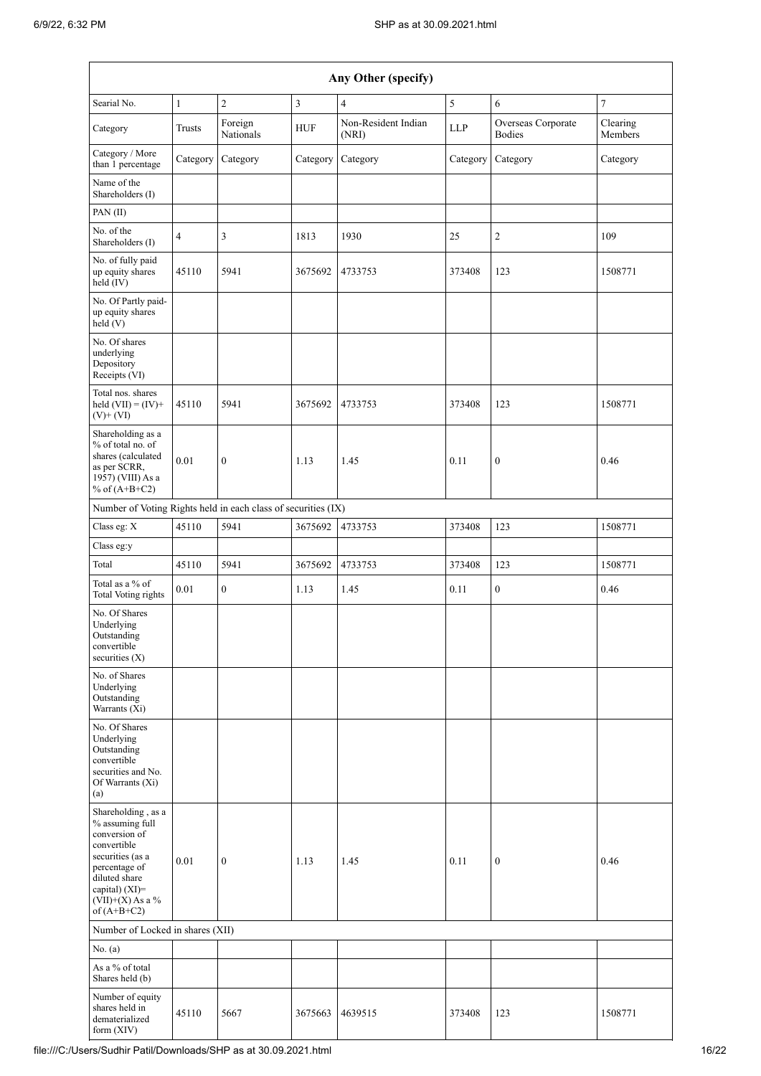|                                                                                                                                                                                                       | Any Other (specify) |                      |            |                              |            |                                     |                     |  |  |
|-------------------------------------------------------------------------------------------------------------------------------------------------------------------------------------------------------|---------------------|----------------------|------------|------------------------------|------------|-------------------------------------|---------------------|--|--|
| Searial No.                                                                                                                                                                                           | $\mathbf{1}$        | $\overline{2}$       | 3          | $\overline{4}$               | 5          | 6                                   | $\tau$              |  |  |
| Category                                                                                                                                                                                              | Trusts              | Foreign<br>Nationals | <b>HUF</b> | Non-Resident Indian<br>(NRI) | <b>LLP</b> | Overseas Corporate<br><b>Bodies</b> | Clearing<br>Members |  |  |
| Category / More<br>than 1 percentage                                                                                                                                                                  | Category            | Category             | Category   | Category                     | Category   | Category                            | Category            |  |  |
| Name of the<br>Shareholders (I)                                                                                                                                                                       |                     |                      |            |                              |            |                                     |                     |  |  |
| PAN (II)                                                                                                                                                                                              |                     |                      |            |                              |            |                                     |                     |  |  |
| No. of the<br>Shareholders (I)                                                                                                                                                                        | $\overline{4}$      | 3                    | 1813       | 1930                         | 25         | $\overline{c}$                      | 109                 |  |  |
| No. of fully paid<br>up equity shares<br>$\text{held}(\text{IV})$                                                                                                                                     | 45110               | 5941                 | 3675692    | 4733753                      | 373408     | 123                                 | 1508771             |  |  |
| No. Of Partly paid-<br>up equity shares<br>held(V)                                                                                                                                                    |                     |                      |            |                              |            |                                     |                     |  |  |
| No. Of shares<br>underlying<br>Depository<br>Receipts (VI)                                                                                                                                            |                     |                      |            |                              |            |                                     |                     |  |  |
| Total nos. shares<br>held $(VII) = (IV) +$<br>$(V)+(VI)$                                                                                                                                              | 45110               | 5941                 | 3675692    | 4733753                      | 373408     | 123                                 | 1508771             |  |  |
| Shareholding as a<br>% of total no. of<br>shares (calculated<br>as per SCRR,<br>1957) (VIII) As a<br>% of $(A+B+C2)$                                                                                  | 0.01                | $\boldsymbol{0}$     | 1.13       | 1.45                         | 0.11       | $\boldsymbol{0}$                    | 0.46                |  |  |
| Number of Voting Rights held in each class of securities (IX)                                                                                                                                         |                     |                      |            |                              |            |                                     |                     |  |  |
| Class eg: X                                                                                                                                                                                           | 45110               | 5941                 | 3675692    | 4733753                      | 373408     | 123                                 | 1508771             |  |  |
| Class eg:y                                                                                                                                                                                            |                     |                      |            |                              |            |                                     |                     |  |  |
| Total                                                                                                                                                                                                 | 45110               | 5941                 | 3675692    | 4733753                      | 373408     | 123                                 | 1508771             |  |  |
| Total as a % of<br>Total Voting rights                                                                                                                                                                | 0.01                | $\boldsymbol{0}$     | 1.13       | 1.45                         | 0.11       | $\boldsymbol{0}$                    | 0.46                |  |  |
| No. Of Shares<br>Underlying<br>Outstanding<br>convertible<br>securities (X)                                                                                                                           |                     |                      |            |                              |            |                                     |                     |  |  |
| No. of Shares<br>Underlying<br>Outstanding<br>Warrants (Xi)                                                                                                                                           |                     |                      |            |                              |            |                                     |                     |  |  |
| No. Of Shares<br>Underlying<br>Outstanding<br>convertible<br>securities and No.<br>Of Warrants (Xi)<br>(a)                                                                                            |                     |                      |            |                              |            |                                     |                     |  |  |
| Shareholding, as a<br>% assuming full<br>conversion of<br>convertible<br>securities (as a<br>percentage of<br>diluted share<br>capital) (XI)=<br>$({\rm VII}){+}({\rm X})$ As a $\%$<br>of $(A+B+C2)$ | 0.01                | $\boldsymbol{0}$     | 1.13       | 1.45                         | 0.11       | $\boldsymbol{0}$                    | 0.46                |  |  |
| Number of Locked in shares (XII)                                                                                                                                                                      |                     |                      |            |                              |            |                                     |                     |  |  |
| No. (a)<br>As a % of total                                                                                                                                                                            |                     |                      |            |                              |            |                                     |                     |  |  |
| Shares held (b)                                                                                                                                                                                       |                     |                      |            |                              |            |                                     |                     |  |  |
| Number of equity<br>shares held in<br>dematerialized<br>form $(XIV)$                                                                                                                                  | 45110               | 5667                 | 3675663    | 4639515                      | 373408     | 123                                 | 1508771             |  |  |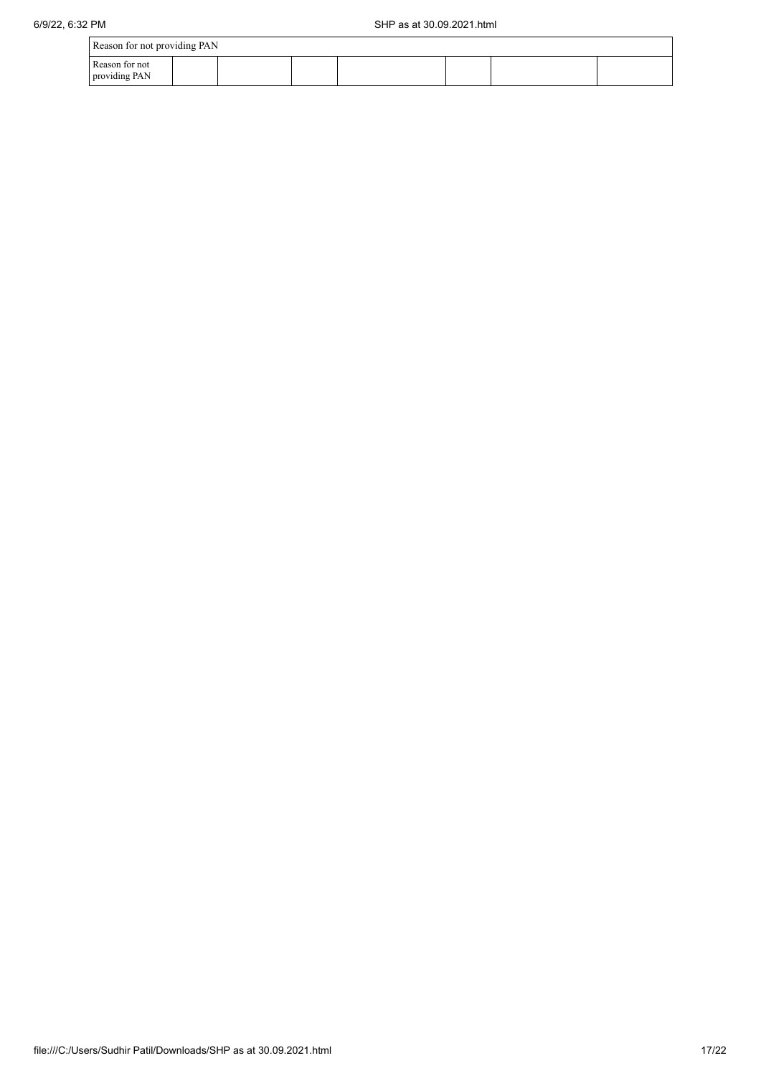| Reason for not providing PAN    |  |  |  |  |  |  |  |  |
|---------------------------------|--|--|--|--|--|--|--|--|
| Reason for not<br>providing PAN |  |  |  |  |  |  |  |  |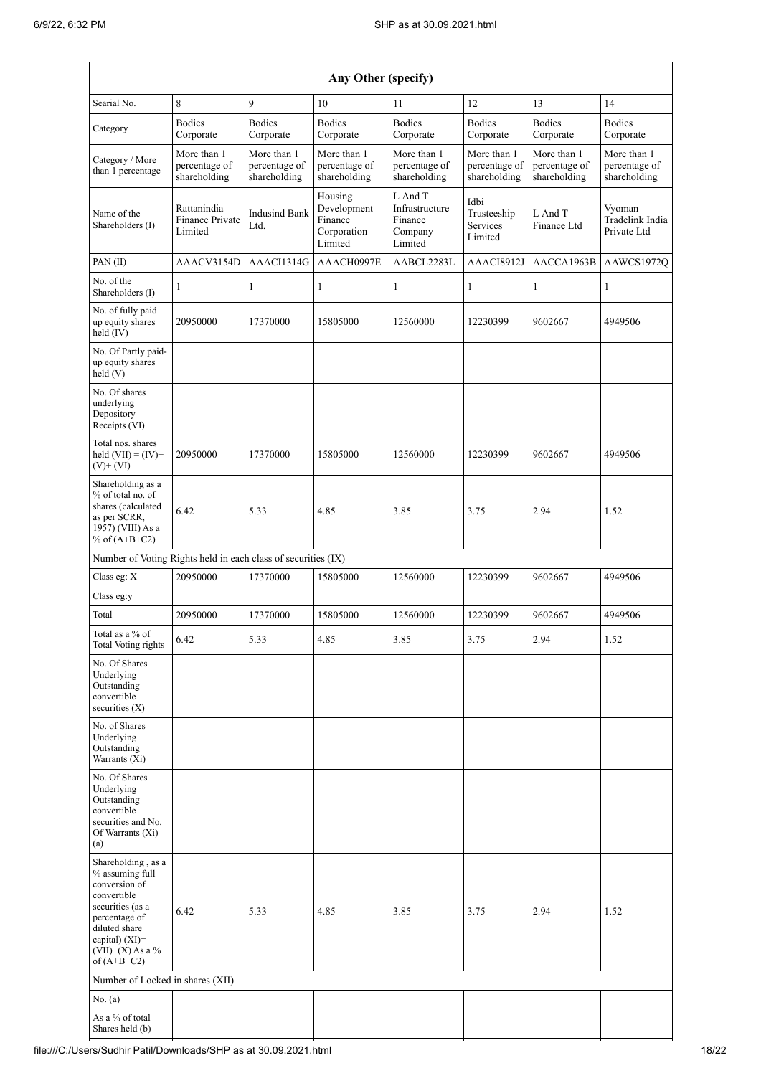| Any Other (specify)                                                                                                                                                                  |                                              |                                              |                                                             |                                                            |                                              |                                              |                                              |  |
|--------------------------------------------------------------------------------------------------------------------------------------------------------------------------------------|----------------------------------------------|----------------------------------------------|-------------------------------------------------------------|------------------------------------------------------------|----------------------------------------------|----------------------------------------------|----------------------------------------------|--|
| Searial No.                                                                                                                                                                          | 8                                            | 9                                            | 10                                                          | 11                                                         | 12                                           | 13                                           | 14                                           |  |
| Category                                                                                                                                                                             | <b>Bodies</b><br>Corporate                   | <b>Bodies</b><br>Corporate                   | <b>Bodies</b><br>Corporate                                  | <b>Bodies</b><br>Corporate                                 | <b>Bodies</b><br>Corporate                   | <b>Bodies</b><br>Corporate                   | <b>Bodies</b><br>Corporate                   |  |
| Category / More<br>than 1 percentage                                                                                                                                                 | More than 1<br>percentage of<br>shareholding | More than 1<br>percentage of<br>shareholding | More than 1<br>percentage of<br>shareholding                | More than 1<br>percentage of<br>shareholding               | More than 1<br>percentage of<br>shareholding | More than 1<br>percentage of<br>shareholding | More than 1<br>percentage of<br>shareholding |  |
| Name of the<br>Shareholders (I)                                                                                                                                                      | Rattanindia<br>Finance Private<br>Limited    | <b>Indusind Bank</b><br>Ltd.                 | Housing<br>Development<br>Finance<br>Corporation<br>Limited | L And T<br>Infrastructure<br>Finance<br>Company<br>Limited | Idbi<br>Trusteeship<br>Services<br>Limited   | L And T<br>Finance Ltd                       | Vyoman<br>Tradelink India<br>Private Ltd     |  |
| PAN(II)                                                                                                                                                                              | AAACV3154D                                   | AAACI1314G                                   | AAACH0997E                                                  | AABCL2283L                                                 | AAACI8912J                                   | AACCA1963B                                   | AAWCS1972Q                                   |  |
| No. of the<br>Shareholders (I)                                                                                                                                                       | 1                                            | $\mathbf{1}$                                 | 1                                                           | $\mathbf{1}$                                               | 1                                            | $\mathbf{1}$                                 | $\mathbf{1}$                                 |  |
| No. of fully paid<br>up equity shares<br>held (IV)                                                                                                                                   | 20950000                                     | 17370000                                     | 15805000                                                    | 12560000                                                   | 12230399                                     | 9602667                                      | 4949506                                      |  |
| No. Of Partly paid-<br>up equity shares<br>held(V)                                                                                                                                   |                                              |                                              |                                                             |                                                            |                                              |                                              |                                              |  |
| No. Of shares<br>underlying<br>Depository<br>Receipts (VI)                                                                                                                           |                                              |                                              |                                                             |                                                            |                                              |                                              |                                              |  |
| Total nos. shares<br>held $(VII) = (IV) +$<br>$(V)$ + $(VI)$                                                                                                                         | 20950000                                     | 17370000                                     | 15805000                                                    | 12560000                                                   | 12230399                                     | 9602667                                      | 4949506                                      |  |
| Shareholding as a<br>% of total no. of<br>shares (calculated<br>as per SCRR,<br>1957) (VIII) As a<br>% of $(A+B+C2)$                                                                 | 6.42                                         | 5.33                                         | 4.85                                                        | 3.85                                                       | 3.75                                         | 2.94                                         | 1.52                                         |  |
| Number of Voting Rights held in each class of securities (IX)                                                                                                                        |                                              |                                              |                                                             |                                                            |                                              |                                              |                                              |  |
| Class eg: X                                                                                                                                                                          | 20950000                                     | 17370000                                     | 15805000                                                    | 12560000                                                   | 12230399                                     | 9602667                                      | 4949506                                      |  |
| Class eg:y                                                                                                                                                                           |                                              |                                              |                                                             |                                                            |                                              |                                              |                                              |  |
| Total<br>Total as a $\%$ of<br>Total Voting rights                                                                                                                                   | 20950000<br>6.42                             | 17370000<br>5.33                             | 15805000<br>4.85                                            | 12560000<br>3.85                                           | 12230399<br>3.75                             | 9602667<br>2.94                              | 4949506<br>1.52                              |  |
| No. Of Shares<br>Underlying<br>Outstanding<br>convertible<br>securities (X)                                                                                                          |                                              |                                              |                                                             |                                                            |                                              |                                              |                                              |  |
| No. of Shares<br>Underlying<br>Outstanding<br>Warrants (Xi)                                                                                                                          |                                              |                                              |                                                             |                                                            |                                              |                                              |                                              |  |
| No. Of Shares<br>Underlying<br>Outstanding<br>convertible<br>securities and No.<br>Of Warrants (Xi)<br>(a)                                                                           |                                              |                                              |                                                             |                                                            |                                              |                                              |                                              |  |
| Shareholding, as a<br>% assuming full<br>conversion of<br>convertible<br>securities (as a<br>percentage of<br>diluted share<br>capital) (XI)=<br>$(VII)+(X)$ As a %<br>of $(A+B+C2)$ | 6.42                                         | 5.33                                         | 4.85                                                        | 3.85                                                       | 3.75                                         | 2.94                                         | 1.52                                         |  |
| Number of Locked in shares (XII)                                                                                                                                                     |                                              |                                              |                                                             |                                                            |                                              |                                              |                                              |  |
| No. (a)                                                                                                                                                                              |                                              |                                              |                                                             |                                                            |                                              |                                              |                                              |  |
| As a % of total<br>Shares held (b)                                                                                                                                                   |                                              |                                              |                                                             |                                                            |                                              |                                              |                                              |  |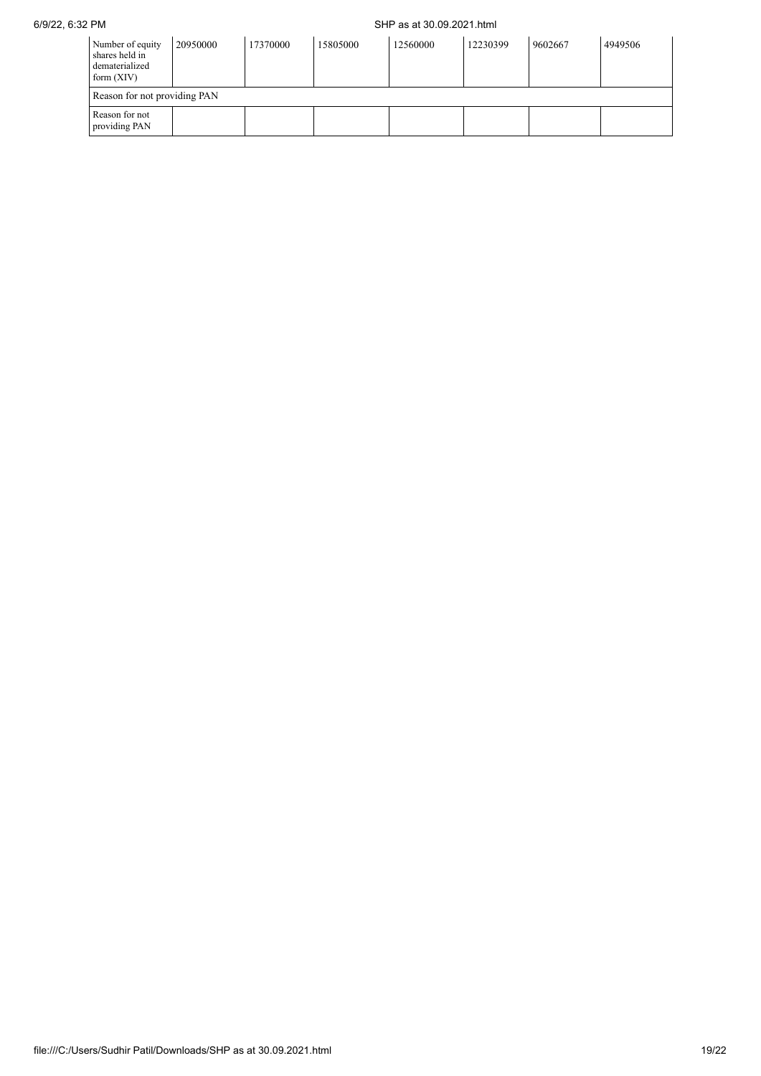## 6/9/22, 6:32 PM SHP as at 30.09.2021.html

| Number of equity<br>shares held in<br>dematerialized<br>form $(XIV)$ | 20950000 | 17370000 | 15805000 | 12560000 | 12230399 | 9602667 | 4949506 |
|----------------------------------------------------------------------|----------|----------|----------|----------|----------|---------|---------|
| Reason for not providing PAN                                         |          |          |          |          |          |         |         |
| Reason for not<br>providing PAN                                      |          |          |          |          |          |         |         |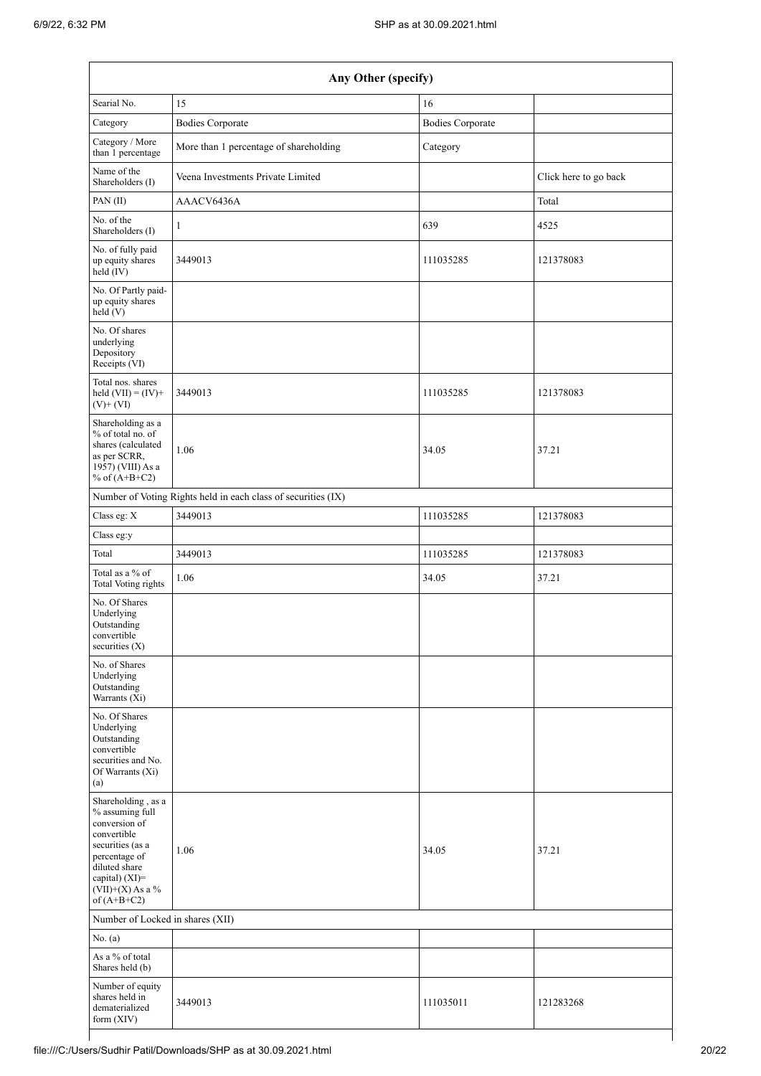| Any Other (specify)                                                                                                                                                                  |                                                               |                         |                       |  |  |  |  |  |
|--------------------------------------------------------------------------------------------------------------------------------------------------------------------------------------|---------------------------------------------------------------|-------------------------|-----------------------|--|--|--|--|--|
| Searial No.                                                                                                                                                                          | 15                                                            | 16                      |                       |  |  |  |  |  |
| Category                                                                                                                                                                             | <b>Bodies Corporate</b>                                       | <b>Bodies Corporate</b> |                       |  |  |  |  |  |
| Category / More<br>than 1 percentage                                                                                                                                                 | More than 1 percentage of shareholding                        | Category                |                       |  |  |  |  |  |
| Name of the<br>Shareholders (I)                                                                                                                                                      | Veena Investments Private Limited                             |                         | Click here to go back |  |  |  |  |  |
| PAN(II)                                                                                                                                                                              | AAACV6436A                                                    |                         | Total                 |  |  |  |  |  |
| No. of the<br>Shareholders (I)                                                                                                                                                       | 1                                                             | 639                     | 4525                  |  |  |  |  |  |
| No. of fully paid<br>up equity shares<br>held (IV)                                                                                                                                   | 3449013                                                       | 111035285               | 121378083             |  |  |  |  |  |
| No. Of Partly paid-<br>up equity shares<br>held(V)                                                                                                                                   |                                                               |                         |                       |  |  |  |  |  |
| No. Of shares<br>underlying<br>Depository<br>Receipts (VI)                                                                                                                           |                                                               |                         |                       |  |  |  |  |  |
| Total nos. shares<br>held $(VII) = (IV) +$<br>$(V)$ + $(VI)$                                                                                                                         | 3449013                                                       | 111035285               | 121378083             |  |  |  |  |  |
| Shareholding as a<br>% of total no. of<br>shares (calculated<br>as per SCRR,<br>1957) (VIII) As a<br>% of $(A+B+C2)$                                                                 | 1.06                                                          | 34.05                   | 37.21                 |  |  |  |  |  |
|                                                                                                                                                                                      | Number of Voting Rights held in each class of securities (IX) |                         |                       |  |  |  |  |  |
| Class eg: X                                                                                                                                                                          | 3449013                                                       | 111035285               | 121378083             |  |  |  |  |  |
| Class eg:y                                                                                                                                                                           |                                                               |                         |                       |  |  |  |  |  |
| Total                                                                                                                                                                                | 3449013                                                       | 111035285               | 121378083             |  |  |  |  |  |
| Total as a % of<br><b>Total Voting rights</b>                                                                                                                                        | 1.06                                                          | 34.05                   | 37.21                 |  |  |  |  |  |
| No. Of Shares<br>Underlying<br>Outstanding<br>convertible<br>securities (X)                                                                                                          |                                                               |                         |                       |  |  |  |  |  |
| No. of Shares<br>Underlying<br>Outstanding<br>Warrants (Xi)                                                                                                                          |                                                               |                         |                       |  |  |  |  |  |
| No. Of Shares<br>Underlying<br>Outstanding<br>convertible<br>securities and No.<br>Of Warrants (Xi)<br>(a)                                                                           |                                                               |                         |                       |  |  |  |  |  |
| Shareholding, as a<br>% assuming full<br>conversion of<br>convertible<br>securities (as a<br>percentage of<br>diluted share<br>capital) (XI)=<br>$(VII)+(X)$ As a %<br>of $(A+B+C2)$ | 1.06                                                          | 34.05                   | 37.21                 |  |  |  |  |  |
| Number of Locked in shares (XII)                                                                                                                                                     |                                                               |                         |                       |  |  |  |  |  |
| No. (a)                                                                                                                                                                              |                                                               |                         |                       |  |  |  |  |  |
| As a % of total<br>Shares held (b)                                                                                                                                                   |                                                               |                         |                       |  |  |  |  |  |
| Number of equity<br>shares held in<br>dematerialized<br>form (XIV)                                                                                                                   | 3449013                                                       | 111035011               | 121283268             |  |  |  |  |  |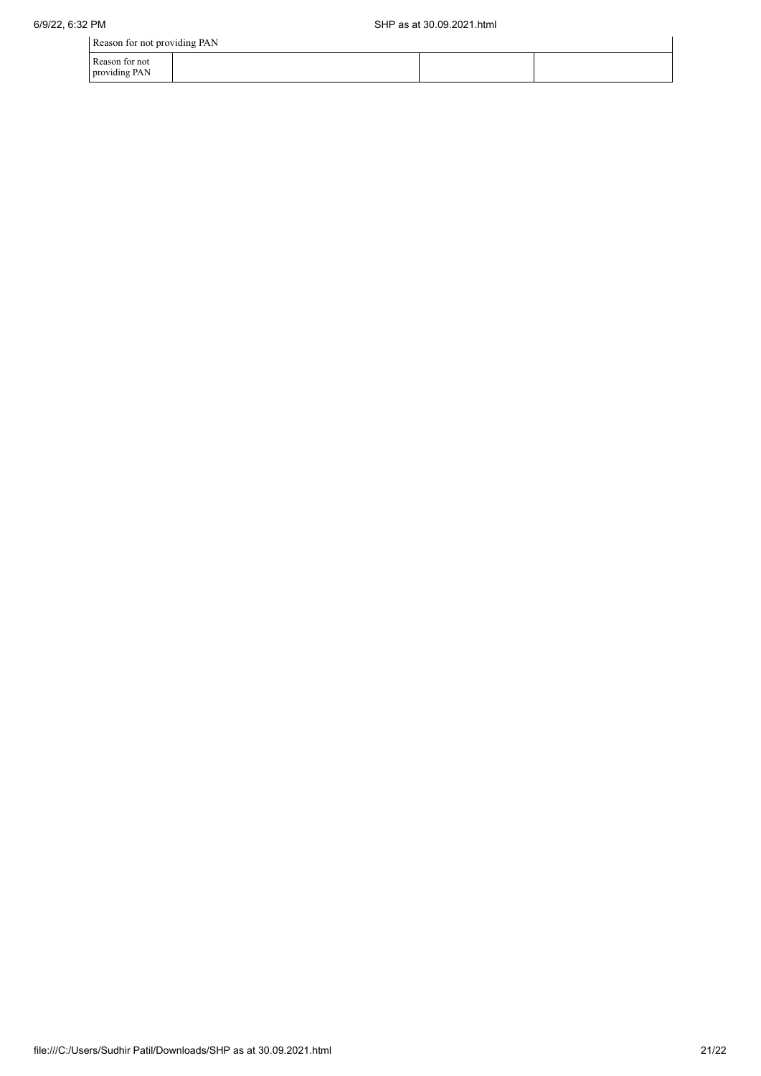| Reason for not providing PAN    |  |  |
|---------------------------------|--|--|
| Reason for not<br>providing PAN |  |  |